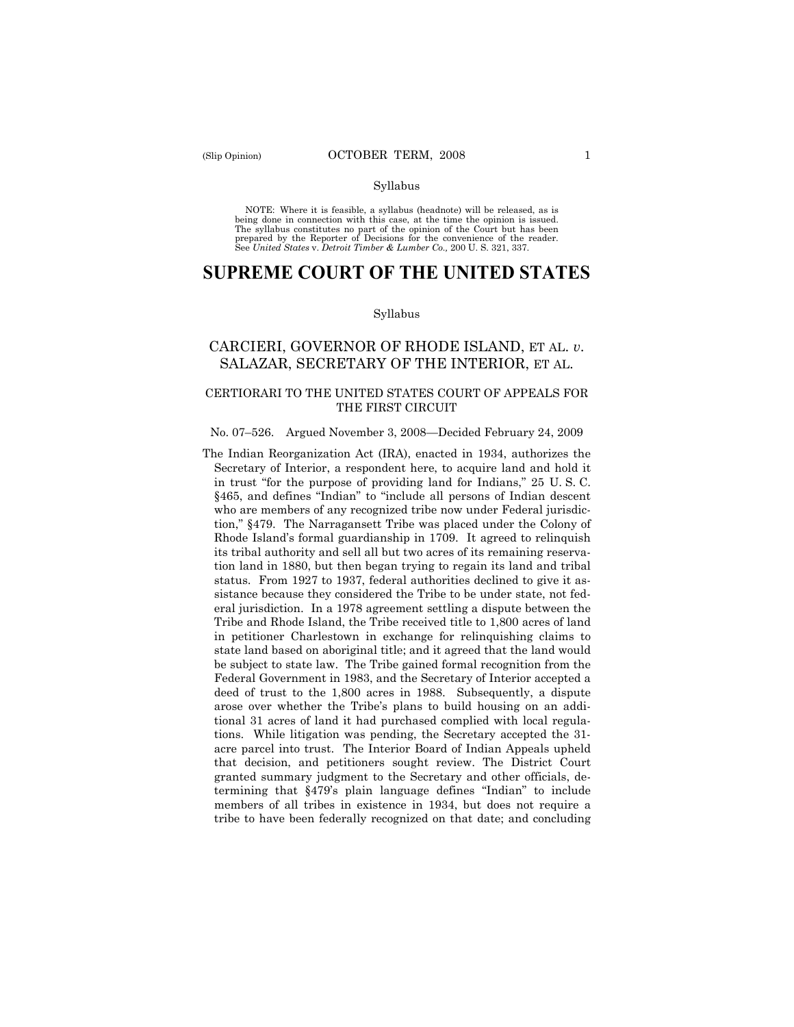#### Syllabus

NOTE: Where it is feasible, a syllabus (headnote) will be released, as is being done in connection with this case, at the time the opinion is issued. The syllabus constitutes no part of the opinion of the Court but has been<br>prepared by the Reporter of Decisions for the convenience of the reader.<br>See United States v. Detroit Timber & Lumber Co., 200 U. S. 321, 337.

# **SUPREME COURT OF THE UNITED STATES**

#### Syllabus

## CARCIERI, GOVERNOR OF RHODE ISLAND, ET AL. *v*. SALAZAR, SECRETARY OF THE INTERIOR, ET AL.

## CERTIORARI TO THE UNITED STATES COURT OF APPEALS FOR THE FIRST CIRCUIT

#### No. 07–526. Argued November 3, 2008—Decided February 24, 2009

The Indian Reorganization Act (IRA), enacted in 1934, authorizes the Secretary of Interior, a respondent here, to acquire land and hold it in trust "for the purpose of providing land for Indians," 25 U. S. C. §465, and defines "Indian" to "include all persons of Indian descent who are members of any recognized tribe now under Federal jurisdiction," §479. The Narragansett Tribe was placed under the Colony of Rhode Island's formal guardianship in 1709. It agreed to relinquish its tribal authority and sell all but two acres of its remaining reservation land in 1880, but then began trying to regain its land and tribal status. From 1927 to 1937, federal authorities declined to give it assistance because they considered the Tribe to be under state, not federal jurisdiction. In a 1978 agreement settling a dispute between the Tribe and Rhode Island, the Tribe received title to 1,800 acres of land in petitioner Charlestown in exchange for relinquishing claims to state land based on aboriginal title; and it agreed that the land would be subject to state law. The Tribe gained formal recognition from the Federal Government in 1983, and the Secretary of Interior accepted a deed of trust to the 1,800 acres in 1988. Subsequently, a dispute arose over whether the Tribe's plans to build housing on an additional 31 acres of land it had purchased complied with local regulations. While litigation was pending, the Secretary accepted the 31 acre parcel into trust. The Interior Board of Indian Appeals upheld that decision, and petitioners sought review. The District Court granted summary judgment to the Secretary and other officials, determining that §479's plain language defines "Indian" to include members of all tribes in existence in 1934, but does not require a tribe to have been federally recognized on that date; and concluding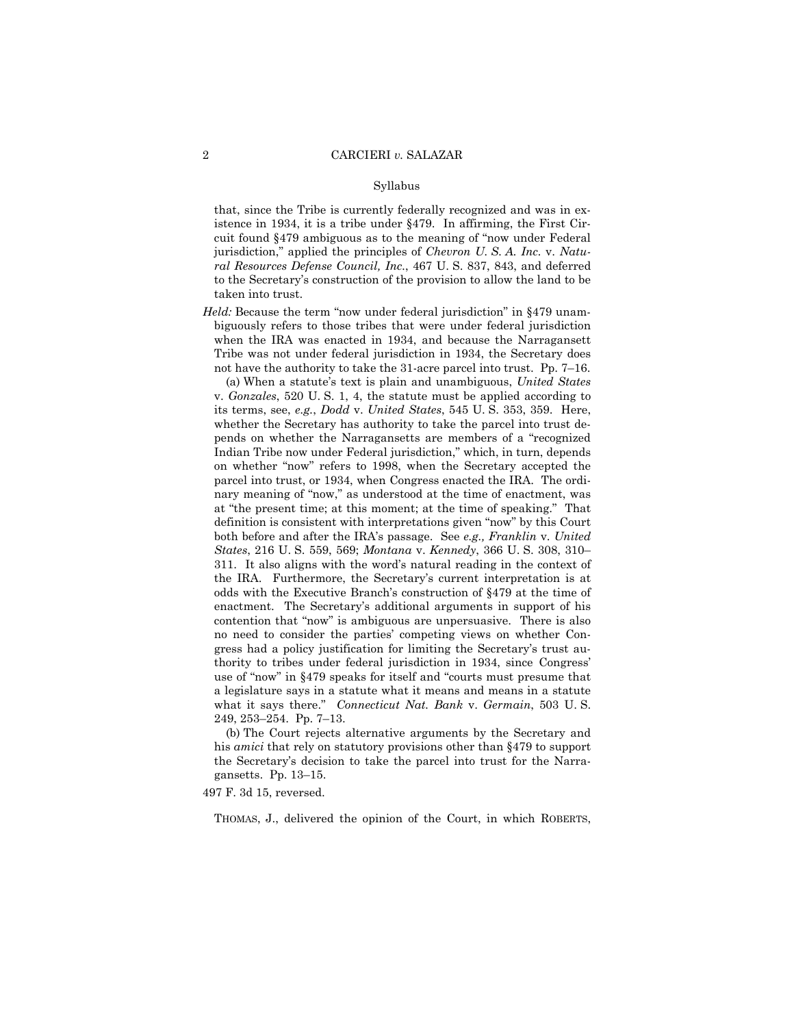#### Syllabus

that, since the Tribe is currently federally recognized and was in existence in 1934, it is a tribe under §479. In affirming, the First Circuit found §479 ambiguous as to the meaning of "now under Federal jurisdiction," applied the principles of *Chevron U. S. A. Inc.* v. *Natural Resources Defense Council, Inc.*, 467 U. S. 837, 843, and deferred to the Secretary's construction of the provision to allow the land to be taken into trust.

*Held:* Because the term "now under federal jurisdiction" in §479 unambiguously refers to those tribes that were under federal jurisdiction when the IRA was enacted in 1934, and because the Narragansett Tribe was not under federal jurisdiction in 1934, the Secretary does not have the authority to take the 31-acre parcel into trust. Pp. 7–16.

(a) When a statute's text is plain and unambiguous, *United States*  v. *Gonzales*, 520 U. S. 1, 4, the statute must be applied according to its terms, see, *e.g.*, *Dodd* v. *United States*, 545 U. S. 353, 359. Here, whether the Secretary has authority to take the parcel into trust depends on whether the Narragansetts are members of a "recognized Indian Tribe now under Federal jurisdiction," which, in turn, depends on whether "now" refers to 1998, when the Secretary accepted the parcel into trust, or 1934, when Congress enacted the IRA. The ordinary meaning of "now," as understood at the time of enactment, was at "the present time; at this moment; at the time of speaking." That definition is consistent with interpretations given "now" by this Court both before and after the IRA's passage. See *e.g., Franklin* v. *United States*, 216 U. S. 559, 569; *Montana* v. *Kennedy*, 366 U. S. 308, 310– 311. It also aligns with the word's natural reading in the context of the IRA. Furthermore, the Secretary's current interpretation is at odds with the Executive Branch's construction of §479 at the time of enactment. The Secretary's additional arguments in support of his contention that "now" is ambiguous are unpersuasive. There is also no need to consider the parties' competing views on whether Congress had a policy justification for limiting the Secretary's trust authority to tribes under federal jurisdiction in 1934, since Congress' use of "now" in §479 speaks for itself and "courts must presume that a legislature says in a statute what it means and means in a statute what it says there." *Connecticut Nat. Bank* v. *Germain*, 503 U. S. 249, 253–254. Pp. 7–13.

(b) The Court rejects alternative arguments by the Secretary and his *amici* that rely on statutory provisions other than §479 to support the Secretary's decision to take the parcel into trust for the Narragansetts. Pp. 13–15.

497 F. 3d 15, reversed.

THOMAS, J., delivered the opinion of the Court, in which ROBERTS,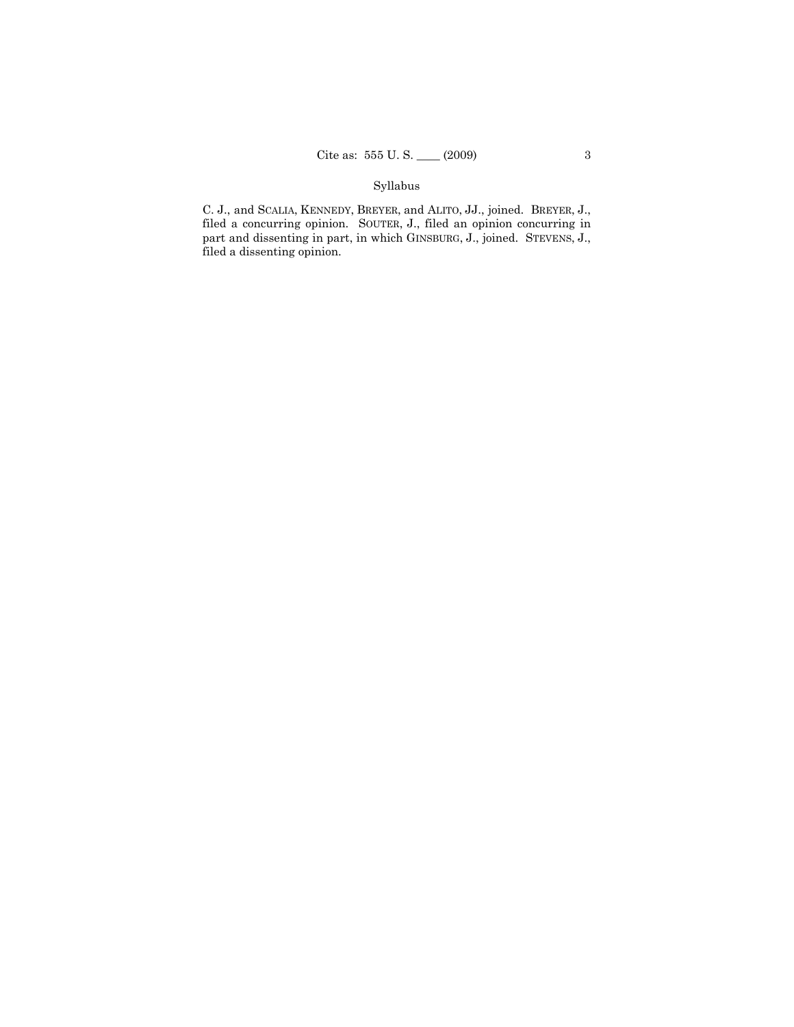# Syllabus

C. J., and SCALIA, KENNEDY, BREYER, and ALITO, JJ., joined. BREYER, J., filed a concurring opinion. SOUTER, J., filed an opinion concurring in part and dissenting in part, in which GINSBURG, J., joined. STEVENS, J., filed a dissenting opinion.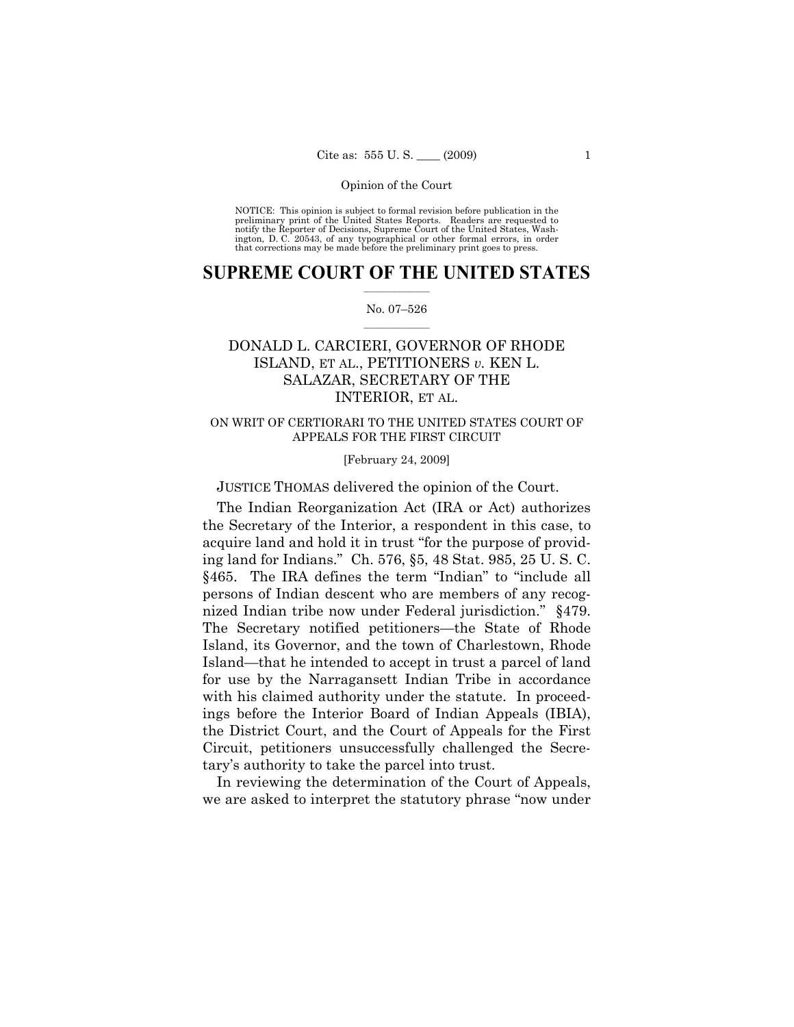NOTICE: This opinion is subject to formal revision before publication in the preliminary print of the United States Reports. Readers are requested to notify the Reporter of Decisions, Supreme Court of the United States, Washington, D. C. 20543, of any typographical or other formal errors, in order that corrections may be made before the preliminary print goes to press.

## $\frac{1}{2}$  ,  $\frac{1}{2}$  ,  $\frac{1}{2}$  ,  $\frac{1}{2}$  ,  $\frac{1}{2}$  ,  $\frac{1}{2}$  ,  $\frac{1}{2}$ **SUPREME COURT OF THE UNITED STATES**

## $\frac{1}{2}$  ,  $\frac{1}{2}$  ,  $\frac{1}{2}$  ,  $\frac{1}{2}$  ,  $\frac{1}{2}$  ,  $\frac{1}{2}$ No. 07–526

# DONALD L. CARCIERI, GOVERNOR OF RHODE ISLAND, ET AL., PETITIONERS *v.* KEN L. SALAZAR, SECRETARY OF THE INTERIOR, ET AL.

## ON WRIT OF CERTIORARI TO THE UNITED STATES COURT OF APPEALS FOR THE FIRST CIRCUIT

## [February 24, 2009]

JUSTICE THOMAS delivered the opinion of the Court.

The Indian Reorganization Act (IRA or Act) authorizes the Secretary of the Interior, a respondent in this case, to acquire land and hold it in trust "for the purpose of providing land for Indians." Ch. 576, §5, 48 Stat. 985, 25 U. S. C. §465. The IRA defines the term "Indian" to "include all persons of Indian descent who are members of any recognized Indian tribe now under Federal jurisdiction." §479. The Secretary notified petitioners—the State of Rhode Island, its Governor, and the town of Charlestown, Rhode Island—that he intended to accept in trust a parcel of land for use by the Narragansett Indian Tribe in accordance with his claimed authority under the statute. In proceedings before the Interior Board of Indian Appeals (IBIA), the District Court, and the Court of Appeals for the First Circuit, petitioners unsuccessfully challenged the Secretary's authority to take the parcel into trust.

In reviewing the determination of the Court of Appeals, we are asked to interpret the statutory phrase "now under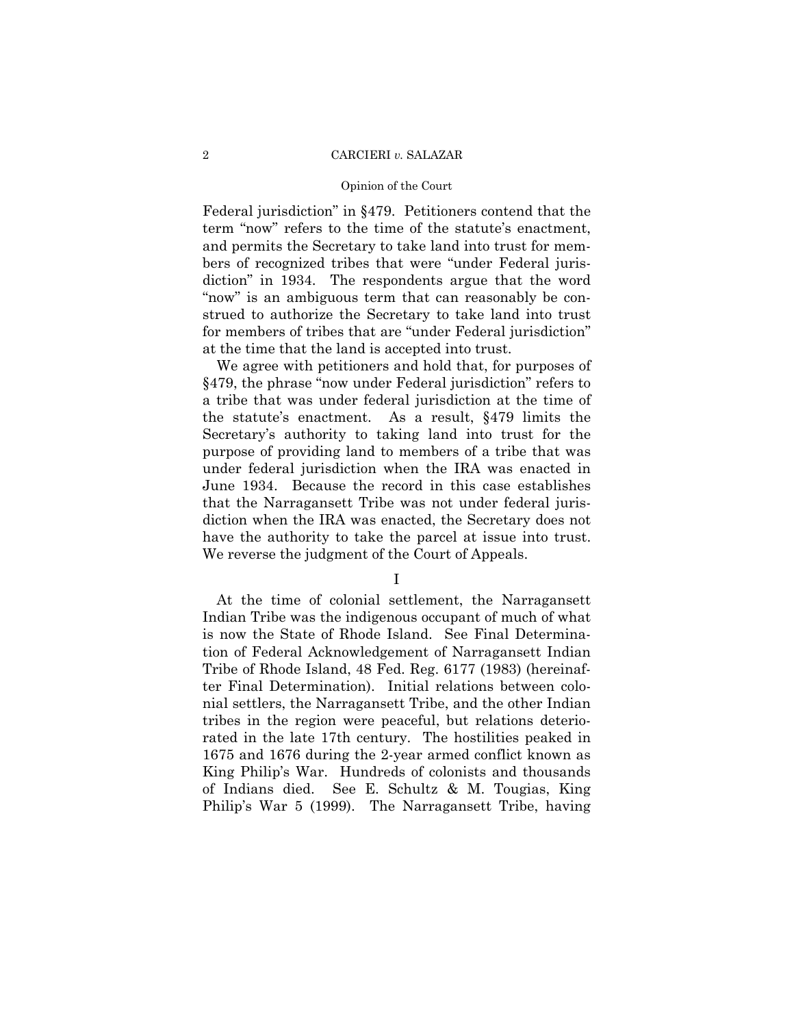## Opinion of the Court

Federal jurisdiction" in §479. Petitioners contend that the term "now" refers to the time of the statute's enactment, and permits the Secretary to take land into trust for members of recognized tribes that were "under Federal jurisdiction" in 1934. The respondents argue that the word "now" is an ambiguous term that can reasonably be construed to authorize the Secretary to take land into trust for members of tribes that are "under Federal jurisdiction" at the time that the land is accepted into trust.

We agree with petitioners and hold that, for purposes of §479, the phrase "now under Federal jurisdiction" refers to a tribe that was under federal jurisdiction at the time of the statute's enactment. As a result, §479 limits the Secretary's authority to taking land into trust for the purpose of providing land to members of a tribe that was under federal jurisdiction when the IRA was enacted in June 1934. Because the record in this case establishes that the Narragansett Tribe was not under federal jurisdiction when the IRA was enacted, the Secretary does not have the authority to take the parcel at issue into trust. We reverse the judgment of the Court of Appeals.

I

At the time of colonial settlement, the Narragansett Indian Tribe was the indigenous occupant of much of what is now the State of Rhode Island. See Final Determination of Federal Acknowledgement of Narragansett Indian Tribe of Rhode Island, 48 Fed. Reg. 6177 (1983) (hereinafter Final Determination). Initial relations between colonial settlers, the Narragansett Tribe, and the other Indian tribes in the region were peaceful, but relations deteriorated in the late 17th century. The hostilities peaked in 1675 and 1676 during the 2-year armed conflict known as King Philip's War. Hundreds of colonists and thousands of Indians died. See E. Schultz & M. Tougias, King Philip's War 5 (1999). The Narragansett Tribe, having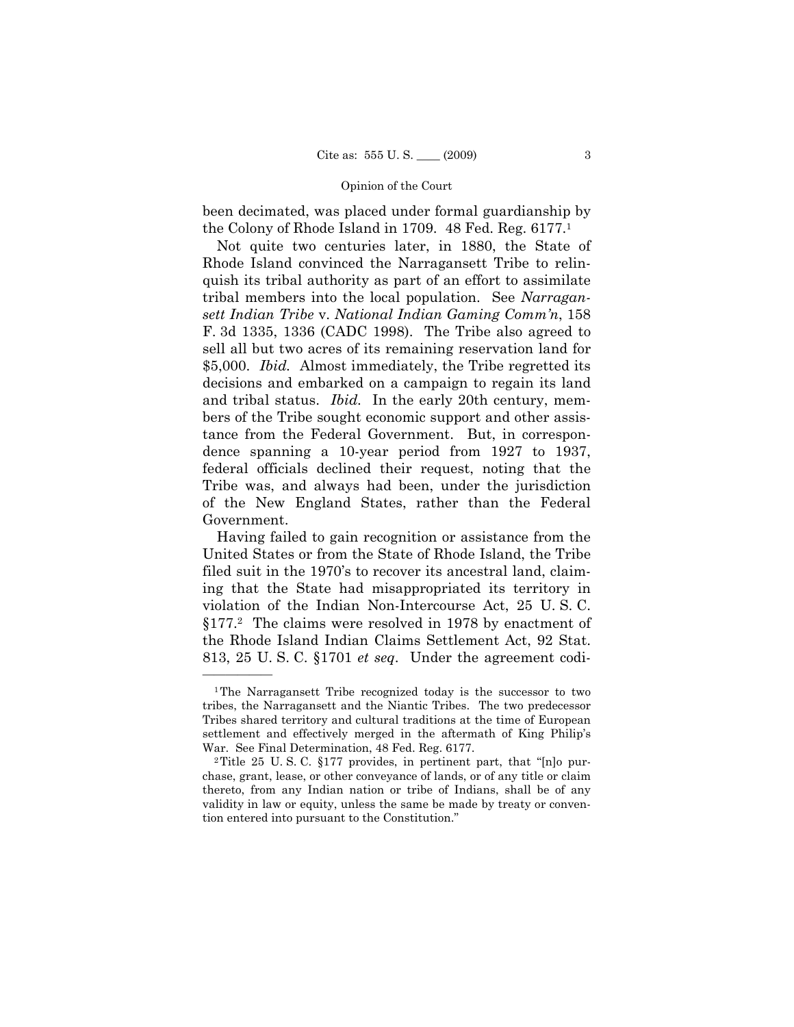been decimated, was placed under formal guardianship by the Colony of Rhode Island in 1709. 48 Fed. Reg. 6177.1

Not quite two centuries later, in 1880, the State of Rhode Island convinced the Narragansett Tribe to relinquish its tribal authority as part of an effort to assimilate tribal members into the local population. See *Narragansett Indian Tribe* v. *National Indian Gaming Comm'n*, 158 F. 3d 1335, 1336 (CADC 1998). The Tribe also agreed to sell all but two acres of its remaining reservation land for \$5,000. *Ibid.* Almost immediately, the Tribe regretted its decisions and embarked on a campaign to regain its land and tribal status. *Ibid.* In the early 20th century, members of the Tribe sought economic support and other assistance from the Federal Government. But, in correspondence spanning a 10-year period from 1927 to 1937, federal officials declined their request, noting that the Tribe was, and always had been, under the jurisdiction of the New England States, rather than the Federal Government.

Having failed to gain recognition or assistance from the United States or from the State of Rhode Island, the Tribe filed suit in the 1970's to recover its ancestral land, claiming that the State had misappropriated its territory in violation of the Indian Non-Intercourse Act, 25 U. S. C. §177.2 The claims were resolved in 1978 by enactment of the Rhode Island Indian Claims Settlement Act, 92 Stat. 813, 25 U. S. C. §1701 *et seq*. Under the agreement codi-

<sup>1</sup>The Narragansett Tribe recognized today is the successor to two tribes, the Narragansett and the Niantic Tribes. The two predecessor Tribes shared territory and cultural traditions at the time of European settlement and effectively merged in the aftermath of King Philip's War. See Final Determination, 48 Fed. Reg. 6177.<br><sup>2</sup>Title 25 U.S.C. §177 provides, in pertinent part, that "[n]o pur-

chase, grant, lease, or other conveyance of lands, or of any title or claim thereto, from any Indian nation or tribe of Indians, shall be of any validity in law or equity, unless the same be made by treaty or convention entered into pursuant to the Constitution."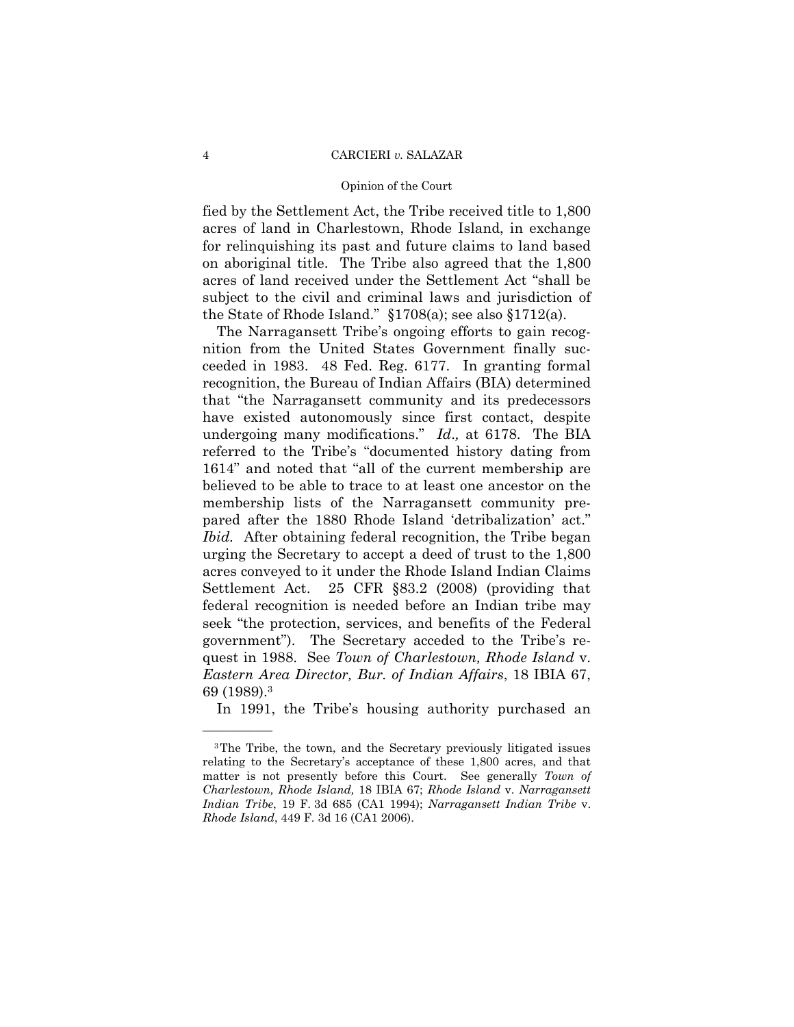### Opinion of the Court

fied by the Settlement Act, the Tribe received title to 1,800 acres of land in Charlestown, Rhode Island, in exchange for relinquishing its past and future claims to land based on aboriginal title. The Tribe also agreed that the 1,800 acres of land received under the Settlement Act "shall be subject to the civil and criminal laws and jurisdiction of the State of Rhode Island." §1708(a); see also §1712(a).

The Narragansett Tribe's ongoing efforts to gain recognition from the United States Government finally succeeded in 1983. 48 Fed. Reg. 6177. In granting formal recognition, the Bureau of Indian Affairs (BIA) determined that "the Narragansett community and its predecessors have existed autonomously since first contact, despite undergoing many modifications." *Id*.*,* at 6178. The BIA referred to the Tribe's "documented history dating from 1614" and noted that "all of the current membership are believed to be able to trace to at least one ancestor on the membership lists of the Narragansett community prepared after the 1880 Rhode Island 'detribalization' act." *Ibid.* After obtaining federal recognition, the Tribe began urging the Secretary to accept a deed of trust to the 1,800 acres conveyed to it under the Rhode Island Indian Claims Settlement Act. 25 CFR §83.2 (2008) (providing that federal recognition is needed before an Indian tribe may seek "the protection, services, and benefits of the Federal government"). The Secretary acceded to the Tribe's request in 1988. See *Town of Charlestown, Rhode Island* v. *Eastern Area Director, Bur. of Indian Affairs*, 18 IBIA 67, 69 (1989).3

In 1991, the Tribe's housing authority purchased an

<sup>3</sup>The Tribe, the town, and the Secretary previously litigated issues relating to the Secretary's acceptance of these 1,800 acres, and that matter is not presently before this Court. See generally *Town of Charlestown, Rhode Island,* 18 IBIA 67; *Rhode Island* v. *Narragansett Indian Tribe*, 19 F. 3d 685 (CA1 1994); *Narragansett Indian Tribe* v. *Rhode Island*, 449 F. 3d 16 (CA1 2006).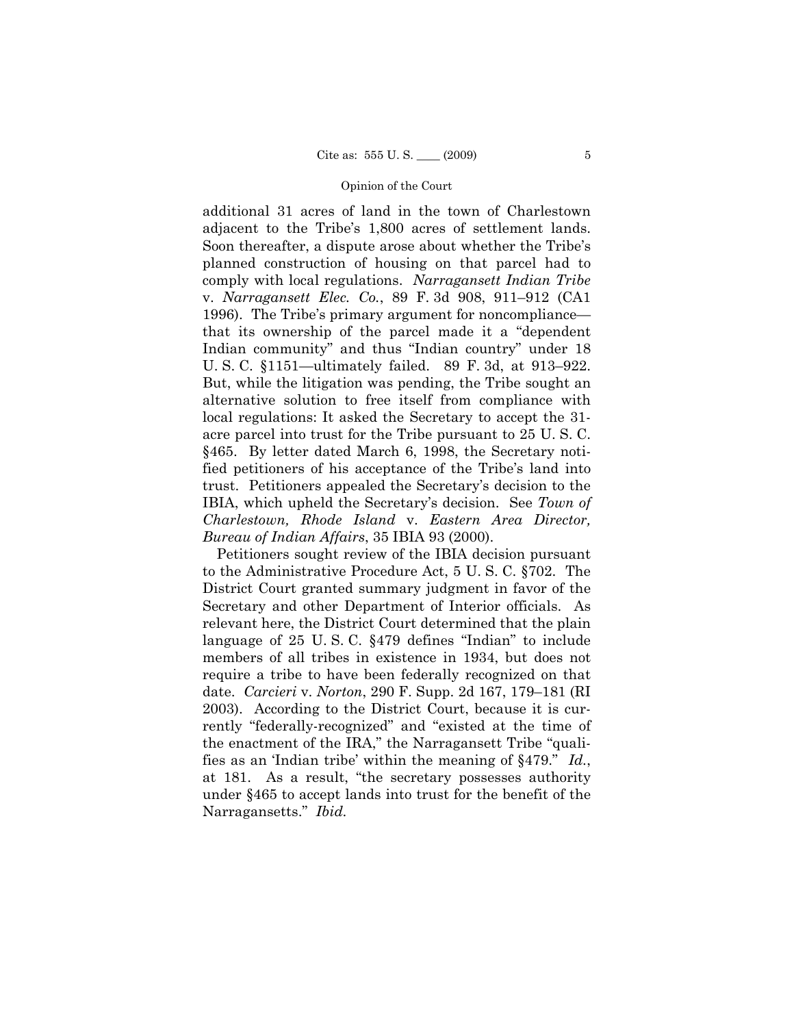additional 31 acres of land in the town of Charlestown adjacent to the Tribe's 1,800 acres of settlement lands. Soon thereafter, a dispute arose about whether the Tribe's planned construction of housing on that parcel had to comply with local regulations. *Narragansett Indian Tribe*  v. *Narragansett Elec. Co.*, 89 F. 3d 908, 911–912 (CA1 1996). The Tribe's primary argument for noncompliance that its ownership of the parcel made it a "dependent Indian community" and thus "Indian country" under 18 U. S. C. §1151—ultimately failed. 89 F. 3d, at 913–922. But, while the litigation was pending, the Tribe sought an alternative solution to free itself from compliance with local regulations: It asked the Secretary to accept the 31 acre parcel into trust for the Tribe pursuant to 25 U. S. C. §465. By letter dated March 6, 1998, the Secretary notified petitioners of his acceptance of the Tribe's land into trust. Petitioners appealed the Secretary's decision to the IBIA, which upheld the Secretary's decision. See *Town of Charlestown, Rhode Island* v. *Eastern Area Director, Bureau of Indian Affairs*, 35 IBIA 93 (2000).

Petitioners sought review of the IBIA decision pursuant to the Administrative Procedure Act, 5 U. S. C. §702. The District Court granted summary judgment in favor of the Secretary and other Department of Interior officials. As relevant here, the District Court determined that the plain language of 25 U. S. C. §479 defines "Indian" to include members of all tribes in existence in 1934, but does not require a tribe to have been federally recognized on that date. *Carcieri* v. *Norton*, 290 F. Supp. 2d 167, 179–181 (RI 2003). According to the District Court, because it is currently "federally-recognized" and "existed at the time of the enactment of the IRA," the Narragansett Tribe "qualifies as an 'Indian tribe' within the meaning of §479." *Id.*, at 181. As a result, "the secretary possesses authority under §465 to accept lands into trust for the benefit of the Narragansetts." *Ibid.*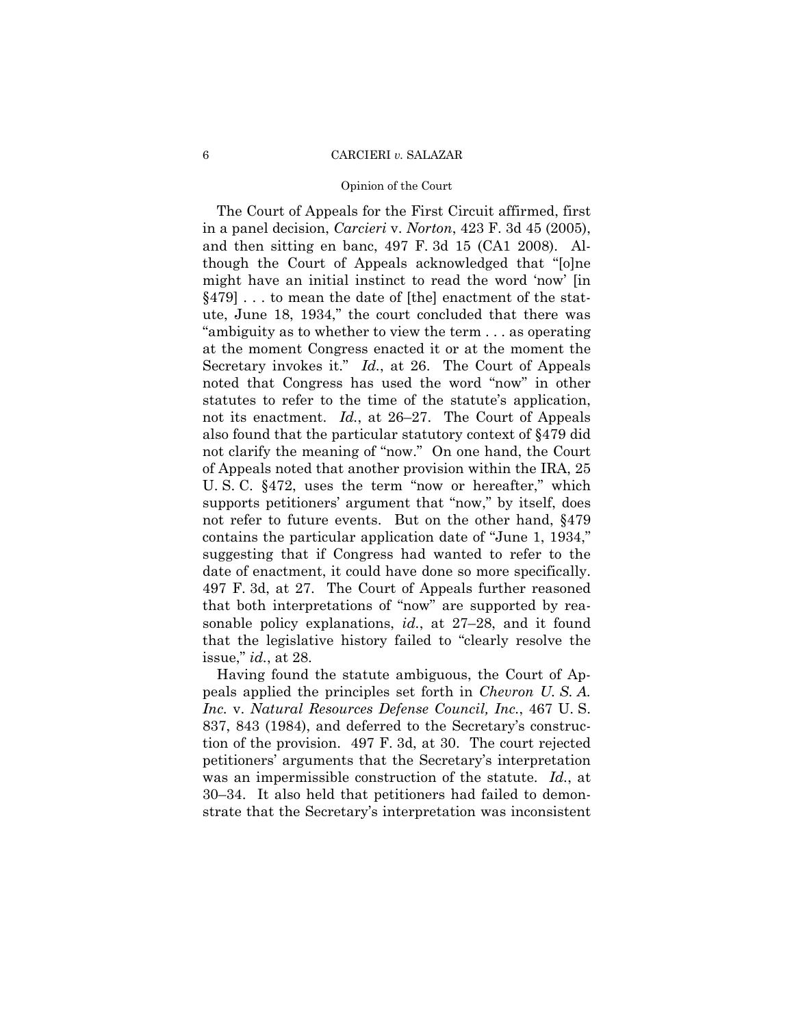### Opinion of the Court

The Court of Appeals for the First Circuit affirmed, first in a panel decision, *Carcieri* v. *Norton*, 423 F. 3d 45 (2005), and then sitting en banc, 497 F. 3d 15 (CA1 2008). Although the Court of Appeals acknowledged that "[o]ne might have an initial instinct to read the word 'now' [in §479] . . . to mean the date of [the] enactment of the statute, June 18, 1934," the court concluded that there was "ambiguity as to whether to view the term . . . as operating at the moment Congress enacted it or at the moment the Secretary invokes it." *Id.*, at 26. The Court of Appeals noted that Congress has used the word "now" in other statutes to refer to the time of the statute's application, not its enactment. *Id.*, at 26–27. The Court of Appeals also found that the particular statutory context of §479 did not clarify the meaning of "now." On one hand, the Court of Appeals noted that another provision within the IRA, 25 U. S. C. §472, uses the term "now or hereafter," which supports petitioners' argument that "now," by itself, does not refer to future events. But on the other hand, §479 contains the particular application date of "June 1, 1934," suggesting that if Congress had wanted to refer to the date of enactment, it could have done so more specifically. 497 F. 3d, at 27. The Court of Appeals further reasoned that both interpretations of "now" are supported by reasonable policy explanations, *id.*, at 27–28, and it found that the legislative history failed to "clearly resolve the issue," *id.*, at 28.

Having found the statute ambiguous, the Court of Appeals applied the principles set forth in *Chevron U. S. A. Inc.* v. *Natural Resources Defense Council, Inc.*, 467 U. S. 837, 843 (1984), and deferred to the Secretary's construction of the provision. 497 F. 3d, at 30. The court rejected petitioners' arguments that the Secretary's interpretation was an impermissible construction of the statute. *Id.*, at 30–34. It also held that petitioners had failed to demonstrate that the Secretary's interpretation was inconsistent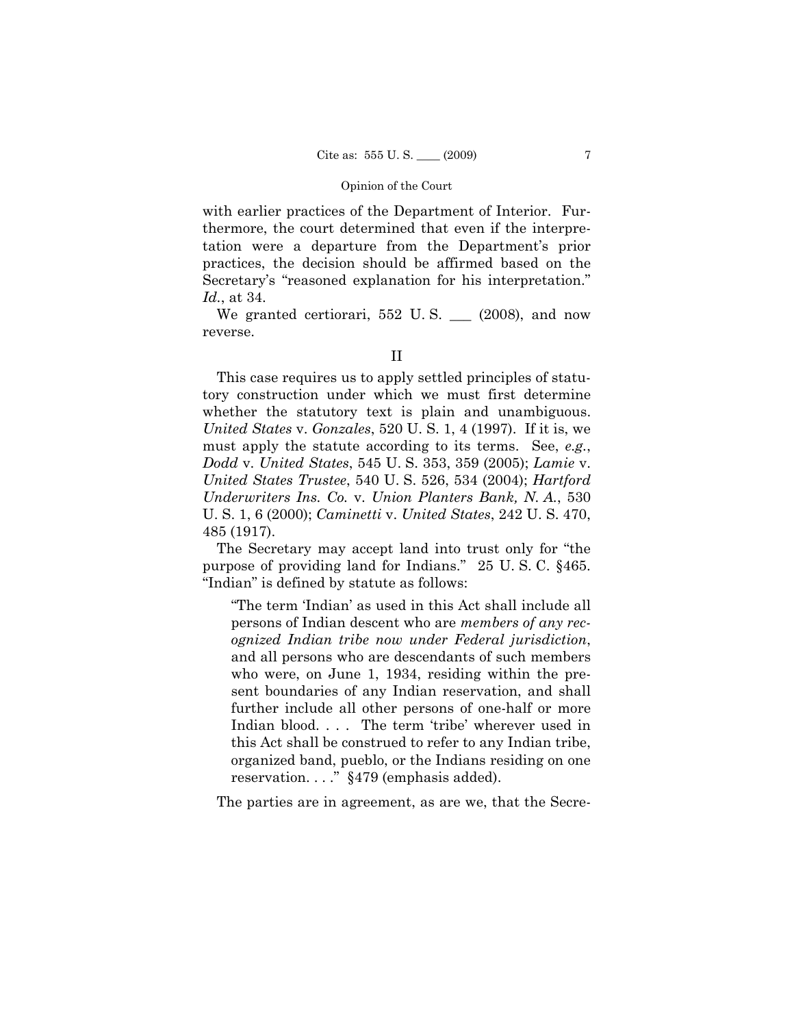with earlier practices of the Department of Interior. Furthermore, the court determined that even if the interpretation were a departure from the Department's prior practices, the decision should be affirmed based on the Secretary's "reasoned explanation for his interpretation." *Id.*, at 34.

We granted certiorari, 552 U.S. \_\_ (2008), and now reverse.

This case requires us to apply settled principles of statutory construction under which we must first determine whether the statutory text is plain and unambiguous. *United States* v. *Gonzales*, 520 U. S. 1, 4 (1997). If it is, we must apply the statute according to its terms. See, *e.g.*, *Dodd* v. *United States*, 545 U. S. 353, 359 (2005); *Lamie* v. *United States Trustee*, 540 U. S. 526, 534 (2004); *Hartford Underwriters Ins. Co.* v. *Union Planters Bank, N. A.*, 530 U. S. 1, 6 (2000); *Caminetti* v. *United States*, 242 U. S. 470, 485 (1917).

The Secretary may accept land into trust only for "the purpose of providing land for Indians." 25 U. S. C. §465. "Indian" is defined by statute as follows:

"The term 'Indian' as used in this Act shall include all persons of Indian descent who are *members of any recognized Indian tribe now under Federal jurisdiction*, and all persons who are descendants of such members who were, on June 1, 1934, residing within the present boundaries of any Indian reservation, and shall further include all other persons of one-half or more Indian blood. . . . The term 'tribe' wherever used in this Act shall be construed to refer to any Indian tribe, organized band, pueblo, or the Indians residing on one reservation. . . ." §479 (emphasis added).

The parties are in agreement, as are we, that the Secre-

II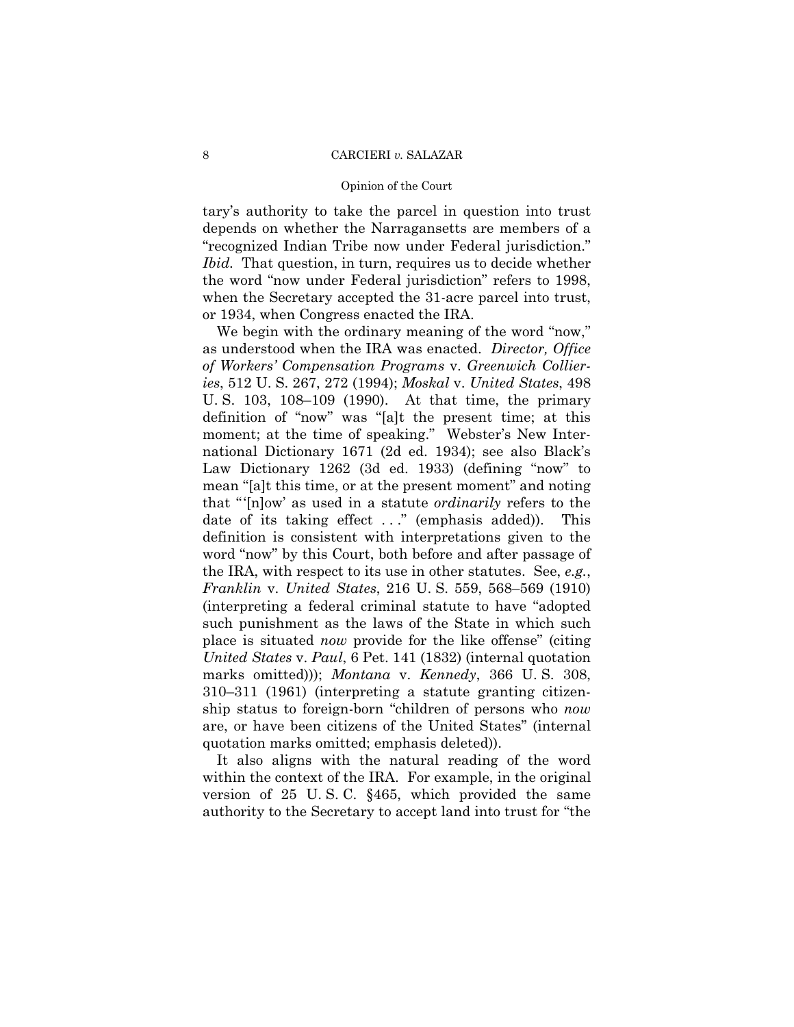## Opinion of the Court

tary's authority to take the parcel in question into trust depends on whether the Narragansetts are members of a "recognized Indian Tribe now under Federal jurisdiction." *Ibid.* That question, in turn, requires us to decide whether the word "now under Federal jurisdiction" refers to 1998, when the Secretary accepted the 31-acre parcel into trust, or 1934, when Congress enacted the IRA.

We begin with the ordinary meaning of the word "now," as understood when the IRA was enacted. *Director, Office of Workers' Compensation Programs* v. *Greenwich Collieries*, 512 U. S. 267, 272 (1994); *Moskal* v. *United States*, 498 U. S. 103, 108–109 (1990). At that time, the primary definition of "now" was "[a]t the present time; at this moment; at the time of speaking." Webster's New International Dictionary 1671 (2d ed. 1934); see also Black's Law Dictionary 1262 (3d ed. 1933) (defining "now" to mean "[a]t this time, or at the present moment" and noting that "'[n]ow' as used in a statute *ordinarily* refers to the date of its taking effect ..." (emphasis added)). This definition is consistent with interpretations given to the word "now" by this Court, both before and after passage of the IRA, with respect to its use in other statutes. See, *e.g.*, *Franklin* v. *United States*, 216 U. S. 559, 568–569 (1910) (interpreting a federal criminal statute to have "adopted such punishment as the laws of the State in which such place is situated *now* provide for the like offense" (citing *United States* v. *Paul*, 6 Pet. 141 (1832) (internal quotation marks omitted))); *Montana* v. *Kennedy*, 366 U. S. 308, 310–311 (1961) (interpreting a statute granting citizenship status to foreign-born "children of persons who *now*  are, or have been citizens of the United States" (internal quotation marks omitted; emphasis deleted)).

It also aligns with the natural reading of the word within the context of the IRA. For example, in the original version of 25 U. S. C. §465, which provided the same authority to the Secretary to accept land into trust for "the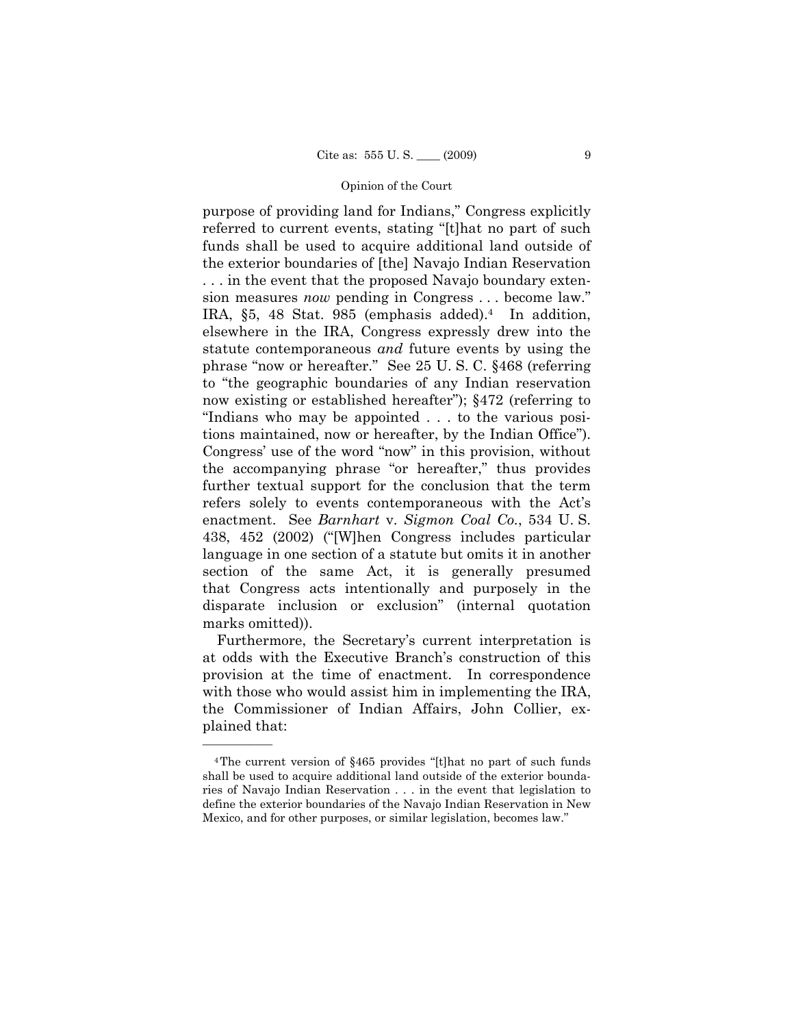purpose of providing land for Indians," Congress explicitly referred to current events, stating "[t]hat no part of such funds shall be used to acquire additional land outside of the exterior boundaries of [the] Navajo Indian Reservation . . . in the event that the proposed Navajo boundary extension measures *now* pending in Congress . . . become law." IRA, §5, 48 Stat. 985 (emphasis added).4 In addition, elsewhere in the IRA, Congress expressly drew into the statute contemporaneous *and* future events by using the phrase "now or hereafter." See 25 U. S. C. §468 (referring to "the geographic boundaries of any Indian reservation now existing or established hereafter");  $\S 472$  (referring to "Indians who may be appointed . . . to the various positions maintained, now or hereafter, by the Indian Office"). Congress' use of the word "now" in this provision, without the accompanying phrase "or hereafter," thus provides further textual support for the conclusion that the term refers solely to events contemporaneous with the Act's enactment. See *Barnhart* v. *Sigmon Coal Co.*, 534 U. S. 438, 452 (2002) ("[W]hen Congress includes particular language in one section of a statute but omits it in another section of the same Act, it is generally presumed that Congress acts intentionally and purposely in the disparate inclusion or exclusion" (internal quotation marks omitted)).

Furthermore, the Secretary's current interpretation is at odds with the Executive Branch's construction of this provision at the time of enactment. In correspondence with those who would assist him in implementing the IRA, the Commissioner of Indian Affairs, John Collier, explained that:

<sup>4</sup>The current version of §465 provides "[t]hat no part of such funds shall be used to acquire additional land outside of the exterior boundaries of Navajo Indian Reservation . . . in the event that legislation to define the exterior boundaries of the Navajo Indian Reservation in New Mexico, and for other purposes, or similar legislation, becomes law."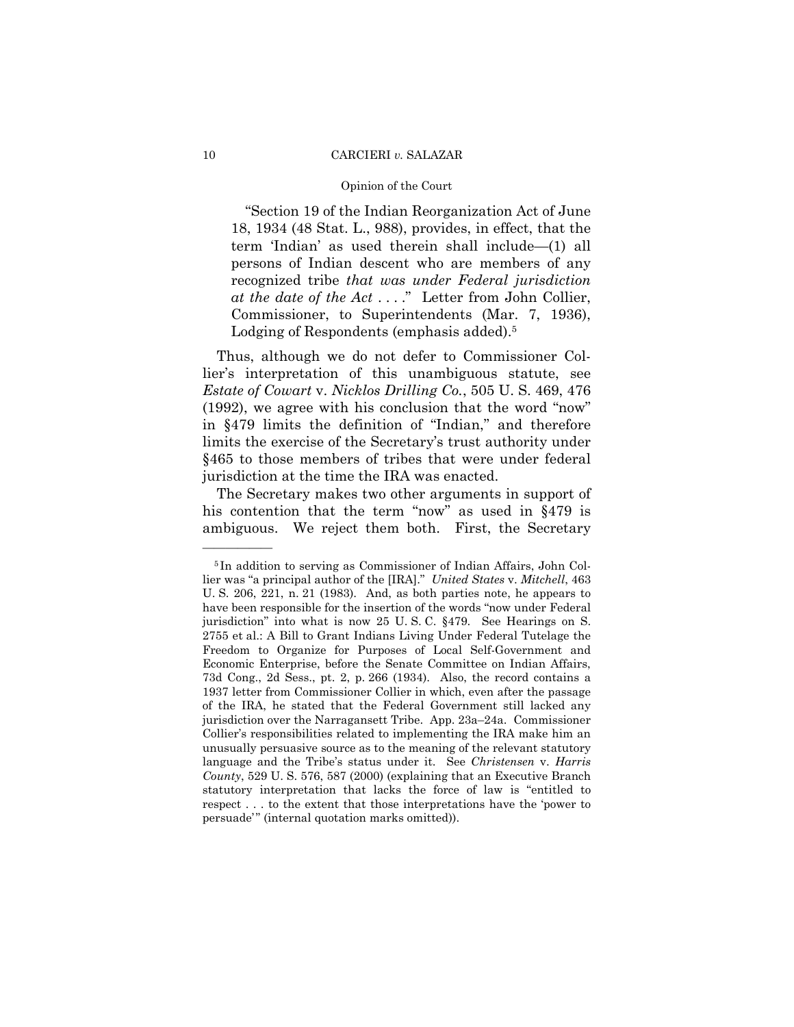## Opinion of the Court

"Section 19 of the Indian Reorganization Act of June 18, 1934 (48 Stat. L., 988), provides, in effect, that the term 'Indian' as used therein shall include—(1) all persons of Indian descent who are members of any recognized tribe *that was under Federal jurisdiction at the date of the Act* . . . ." Letter from John Collier, Commissioner, to Superintendents (Mar. 7, 1936), Lodging of Respondents (emphasis added).<sup>5</sup>

Thus, although we do not defer to Commissioner Collier's interpretation of this unambiguous statute, see *Estate of Cowart* v. *Nicklos Drilling Co.*, 505 U. S. 469, 476 (1992), we agree with his conclusion that the word "now" in §479 limits the definition of "Indian," and therefore limits the exercise of the Secretary's trust authority under §465 to those members of tribes that were under federal jurisdiction at the time the IRA was enacted.

The Secretary makes two other arguments in support of his contention that the term "now" as used in §479 is ambiguous. We reject them both. First, the Secretary

<sup>5</sup> In addition to serving as Commissioner of Indian Affairs, John Collier was "a principal author of the [IRA]." *United States* v. *Mitchell*, 463 U. S. 206, 221, n. 21 (1983). And, as both parties note, he appears to have been responsible for the insertion of the words "now under Federal jurisdiction" into what is now 25 U. S. C. §479. See Hearings on S. 2755 et al.: A Bill to Grant Indians Living Under Federal Tutelage the Freedom to Organize for Purposes of Local Self-Government and Economic Enterprise, before the Senate Committee on Indian Affairs, 73d Cong., 2d Sess., pt. 2, p. 266 (1934). Also, the record contains a 1937 letter from Commissioner Collier in which, even after the passage of the IRA, he stated that the Federal Government still lacked any jurisdiction over the Narragansett Tribe. App. 23a–24a. Commissioner Collier's responsibilities related to implementing the IRA make him an unusually persuasive source as to the meaning of the relevant statutory language and the Tribe's status under it. See *Christensen* v. *Harris County*, 529 U. S. 576, 587 (2000) (explaining that an Executive Branch statutory interpretation that lacks the force of law is "entitled to respect . . . to the extent that those interpretations have the 'power to persuade'" (internal quotation marks omitted)).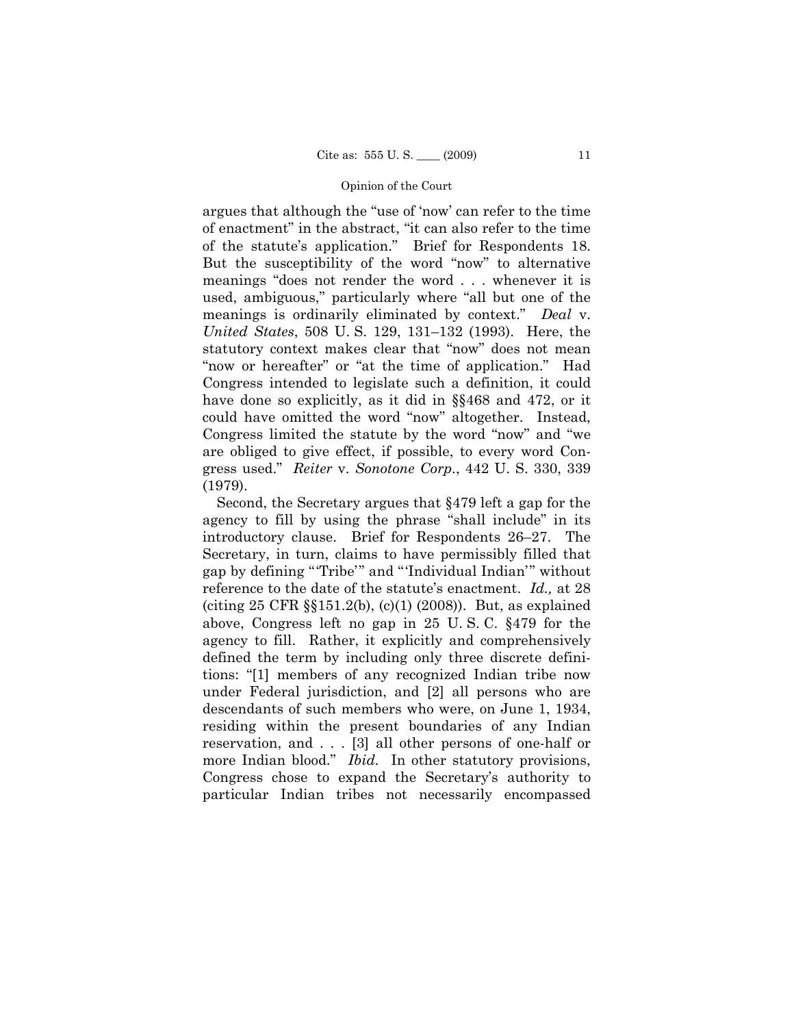argues that although the "use of 'now' can refer to the time of enactment" in the abstract, "it can also refer to the time of the statute's application." Brief for Respondents 18. But the susceptibility of the word "now" to alternative meanings "does not render the word . . . whenever it is used, ambiguous," particularly where "all but one of the meanings is ordinarily eliminated by context." *Deal* v. *United States*, 508 U. S. 129, 131–132 (1993). Here, the statutory context makes clear that "now" does not mean "now or hereafter" or "at the time of application." Had Congress intended to legislate such a definition, it could have done so explicitly, as it did in §§468 and 472, or it could have omitted the word "now" altogether. Instead, Congress limited the statute by the word "now" and "we are obliged to give effect, if possible, to every word Congress used." *Reiter* v. *Sonotone Corp*., 442 U. S. 330, 339 (1979).

Second, the Secretary argues that §479 left a gap for the agency to fill by using the phrase "shall include" in its introductory clause. Brief for Respondents 26–27. The Secretary, in turn, claims to have permissibly filled that gap by defining "'Tribe'" and "'Individual Indian'" without reference to the date of the statute's enactment. *Id.,* at 28 (citing 25 CFR §§151.2(b), (c)(1) (2008)). But, as explained above, Congress left no gap in 25 U. S. C. §479 for the agency to fill. Rather, it explicitly and comprehensively defined the term by including only three discrete definitions: "[1] members of any recognized Indian tribe now under Federal jurisdiction, and [2] all persons who are descendants of such members who were, on June 1, 1934, residing within the present boundaries of any Indian reservation, and . . . [3] all other persons of one-half or more Indian blood." *Ibid.* In other statutory provisions, Congress chose to expand the Secretary's authority to particular Indian tribes not necessarily encompassed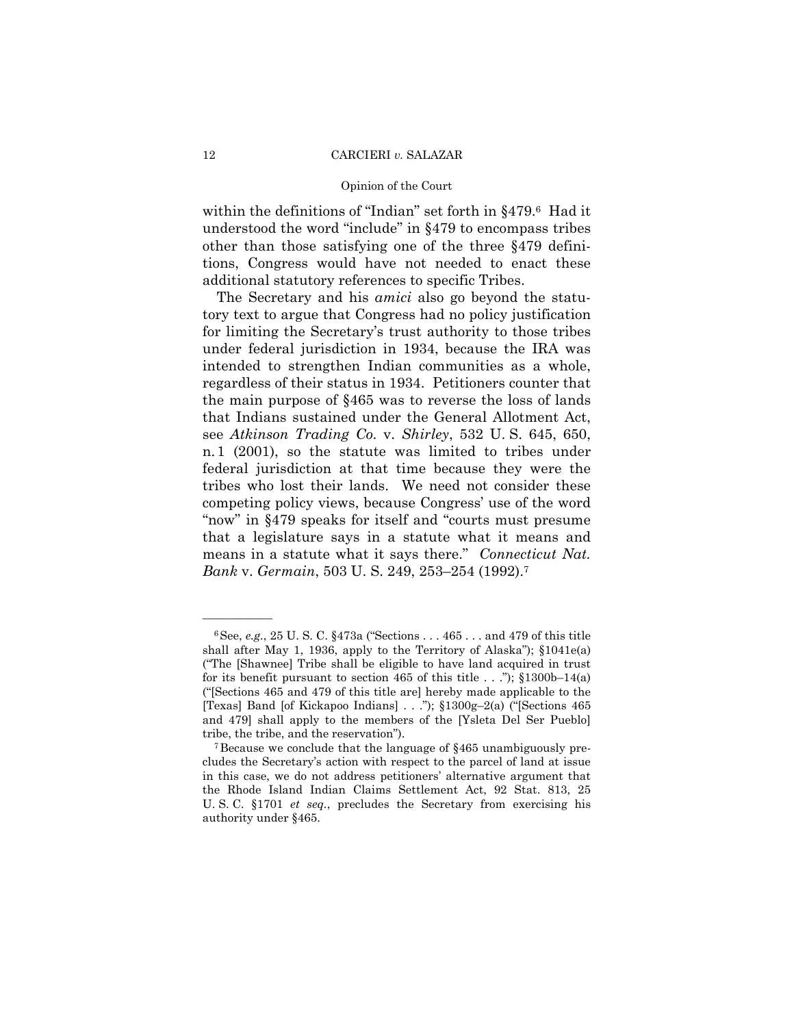## Opinion of the Court

within the definitions of "Indian" set forth in §479.6 Had it understood the word "include" in §479 to encompass tribes other than those satisfying one of the three §479 definitions, Congress would have not needed to enact these additional statutory references to specific Tribes.

The Secretary and his *amici* also go beyond the statutory text to argue that Congress had no policy justification for limiting the Secretary's trust authority to those tribes under federal jurisdiction in 1934, because the IRA was intended to strengthen Indian communities as a whole, regardless of their status in 1934. Petitioners counter that the main purpose of §465 was to reverse the loss of lands that Indians sustained under the General Allotment Act, see *Atkinson Trading Co.* v. *Shirley*, 532 U. S. 645, 650, n.1 (2001), so the statute was limited to tribes under federal jurisdiction at that time because they were the tribes who lost their lands. We need not consider these competing policy views, because Congress' use of the word "now" in §479 speaks for itself and "courts must presume that a legislature says in a statute what it means and means in a statute what it says there." *Connecticut Nat. Bank* v. *Germain*, 503 U. S. 249, 253–254 (1992).7

<sup>6</sup>See, *e.g.*, 25 U. S. C. §473a ("Sections . . . 465 . . . and 479 of this title shall after May 1, 1936, apply to the Territory of Alaska"); §1041e(a) ("The [Shawnee] Tribe shall be eligible to have land acquired in trust for its benefit pursuant to section 465 of this title  $\ldots$ "); §1300b–14(a) ("[Sections 465 and 479 of this title are] hereby made applicable to the [Texas] Band [of Kickapoo Indians] . . ."); §1300g–2(a) ("[Sections 465 and 479] shall apply to the members of the [Ysleta Del Ser Pueblo] tribe, the tribe, and the reservation").<br><sup>7</sup>Because we conclude that the language of §465 unambiguously pre-

cludes the Secretary's action with respect to the parcel of land at issue in this case, we do not address petitioners' alternative argument that the Rhode Island Indian Claims Settlement Act, 92 Stat. 813, 25 U. S. C. §1701 *et seq.*, precludes the Secretary from exercising his authority under §465.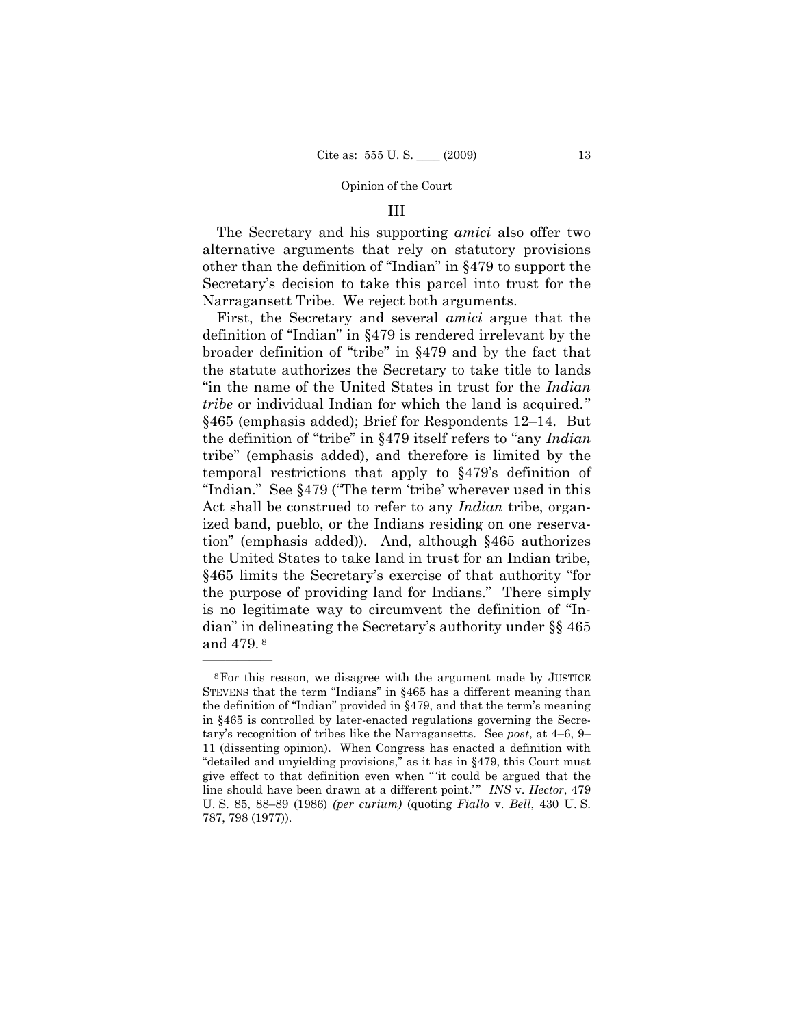## III

The Secretary and his supporting *amici* also offer two alternative arguments that rely on statutory provisions other than the definition of "Indian" in §479 to support the Secretary's decision to take this parcel into trust for the Narragansett Tribe. We reject both arguments.

First, the Secretary and several *amici* argue that the definition of "Indian" in §479 is rendered irrelevant by the broader definition of "tribe" in §479 and by the fact that the statute authorizes the Secretary to take title to lands "in the name of the United States in trust for the *Indian tribe* or individual Indian for which the land is acquired." §465 (emphasis added); Brief for Respondents 12–14. But the definition of "tribe" in §479 itself refers to "any *Indian*  tribe" (emphasis added), and therefore is limited by the temporal restrictions that apply to §479's definition of "Indian." See §479 ("The term 'tribe' wherever used in this Act shall be construed to refer to any *Indian* tribe, organized band, pueblo, or the Indians residing on one reservation" (emphasis added)). And, although §465 authorizes the United States to take land in trust for an Indian tribe, §465 limits the Secretary's exercise of that authority "for the purpose of providing land for Indians." There simply is no legitimate way to circumvent the definition of "Indian" in delineating the Secretary's authority under §§ 465 and 479. 8

<sup>8</sup>For this reason, we disagree with the argument made by JUSTICE STEVENS that the term "Indians" in §465 has a different meaning than the definition of "Indian" provided in §479, and that the term's meaning in §465 is controlled by later-enacted regulations governing the Secretary's recognition of tribes like the Narragansetts. See *post*, at 4–6, 9– 11 (dissenting opinion). When Congress has enacted a definition with "detailed and unyielding provisions," as it has in §479, this Court must give effect to that definition even when " 'it could be argued that the line should have been drawn at a different point.'" *INS* v. *Hector*, 479 U. S. 85, 88–89 (1986) *(per curium)* (quoting *Fiallo* v. *Bell*, 430 U. S. 787, 798 (1977)).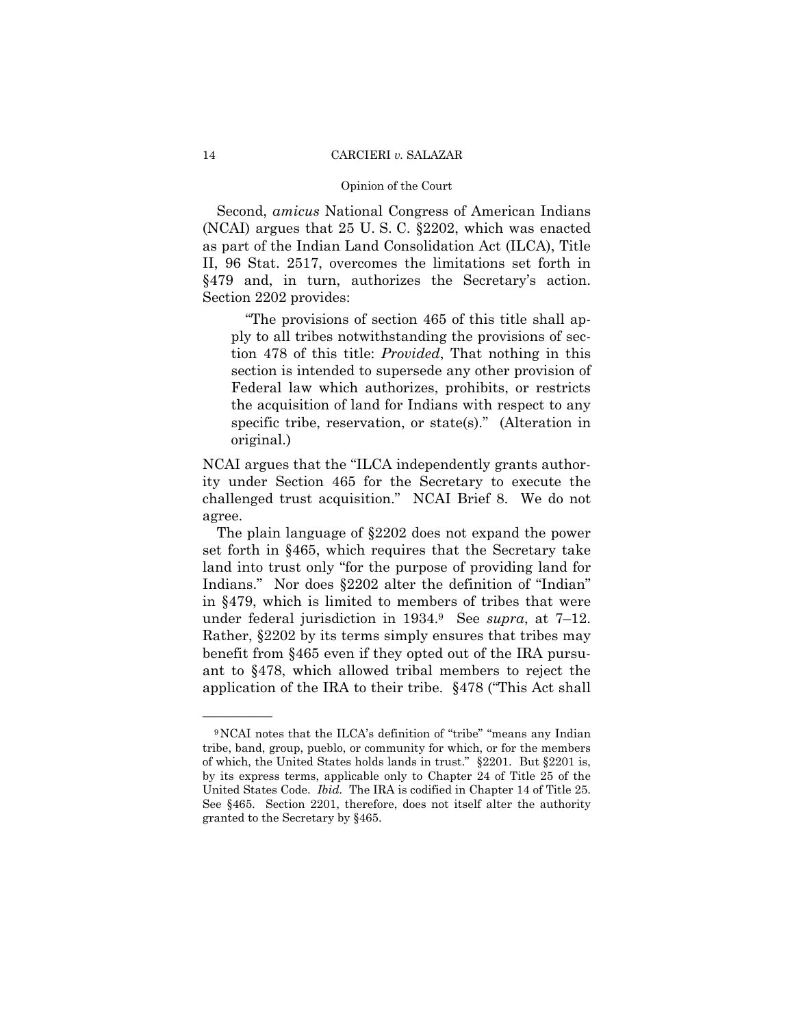### Opinion of the Court

Second, *amicus* National Congress of American Indians (NCAI) argues that 25 U. S. C. §2202, which was enacted as part of the Indian Land Consolidation Act (ILCA), Title II, 96 Stat. 2517, overcomes the limitations set forth in §479 and, in turn, authorizes the Secretary's action. Section 2202 provides:

"The provisions of section 465 of this title shall apply to all tribes notwithstanding the provisions of section 478 of this title: *Provided*, That nothing in this section is intended to supersede any other provision of Federal law which authorizes, prohibits, or restricts the acquisition of land for Indians with respect to any specific tribe, reservation, or state(s)." (Alteration in original.)

NCAI argues that the "ILCA independently grants authority under Section 465 for the Secretary to execute the challenged trust acquisition." NCAI Brief 8. We do not agree.

The plain language of §2202 does not expand the power set forth in §465, which requires that the Secretary take land into trust only "for the purpose of providing land for Indians." Nor does §2202 alter the definition of "Indian" in §479, which is limited to members of tribes that were under federal jurisdiction in 1934.9 See *supra*, at 7–12. Rather, §2202 by its terms simply ensures that tribes may benefit from §465 even if they opted out of the IRA pursuant to §478, which allowed tribal members to reject the application of the IRA to their tribe. §478 ("This Act shall

<sup>9</sup>NCAI notes that the ILCA's definition of "tribe" "means any Indian tribe, band, group, pueblo, or community for which, or for the members of which, the United States holds lands in trust." §2201. But §2201 is, by its express terms, applicable only to Chapter 24 of Title 25 of the United States Code. *Ibid.* The IRA is codified in Chapter 14 of Title 25. See §465. Section 2201, therefore, does not itself alter the authority granted to the Secretary by §465.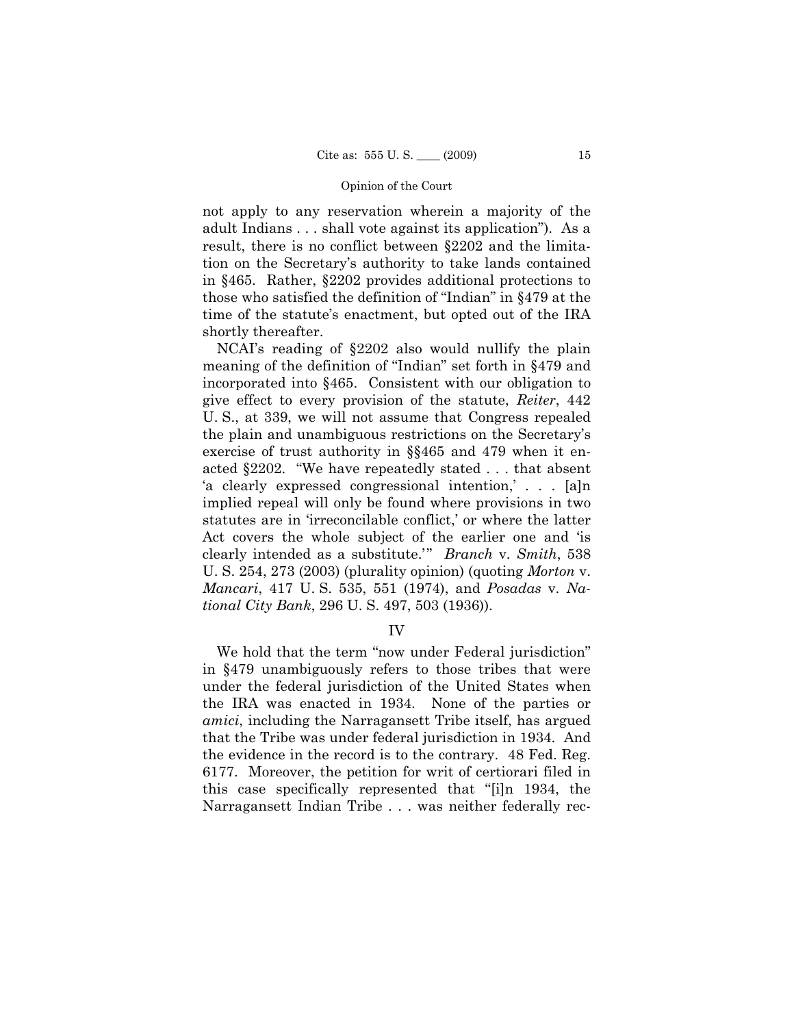not apply to any reservation wherein a majority of the adult Indians . . . shall vote against its application"). As a result, there is no conflict between §2202 and the limitation on the Secretary's authority to take lands contained in §465. Rather, §2202 provides additional protections to those who satisfied the definition of "Indian" in §479 at the time of the statute's enactment, but opted out of the IRA shortly thereafter.

NCAI's reading of §2202 also would nullify the plain meaning of the definition of "Indian" set forth in §479 and incorporated into §465. Consistent with our obligation to give effect to every provision of the statute, *Reiter*, 442 U. S., at 339, we will not assume that Congress repealed the plain and unambiguous restrictions on the Secretary's exercise of trust authority in §§465 and 479 when it enacted §2202. "We have repeatedly stated . . . that absent 'a clearly expressed congressional intention,' . . . [a]n implied repeal will only be found where provisions in two statutes are in 'irreconcilable conflict,' or where the latter Act covers the whole subject of the earlier one and 'is clearly intended as a substitute.'" *Branch* v. *Smith*, 538 U. S. 254, 273 (2003) (plurality opinion) (quoting *Morton* v. *Mancari*, 417 U. S. 535, 551 (1974), and *Posadas* v. *National City Bank*, 296 U. S. 497, 503 (1936)).

## IV

We hold that the term "now under Federal jurisdiction" in §479 unambiguously refers to those tribes that were under the federal jurisdiction of the United States when the IRA was enacted in 1934. None of the parties or *amici*, including the Narragansett Tribe itself, has argued that the Tribe was under federal jurisdiction in 1934. And the evidence in the record is to the contrary. 48 Fed. Reg. 6177. Moreover, the petition for writ of certiorari filed in this case specifically represented that ''[i]n 1934, the Narragansett Indian Tribe . . . was neither federally rec-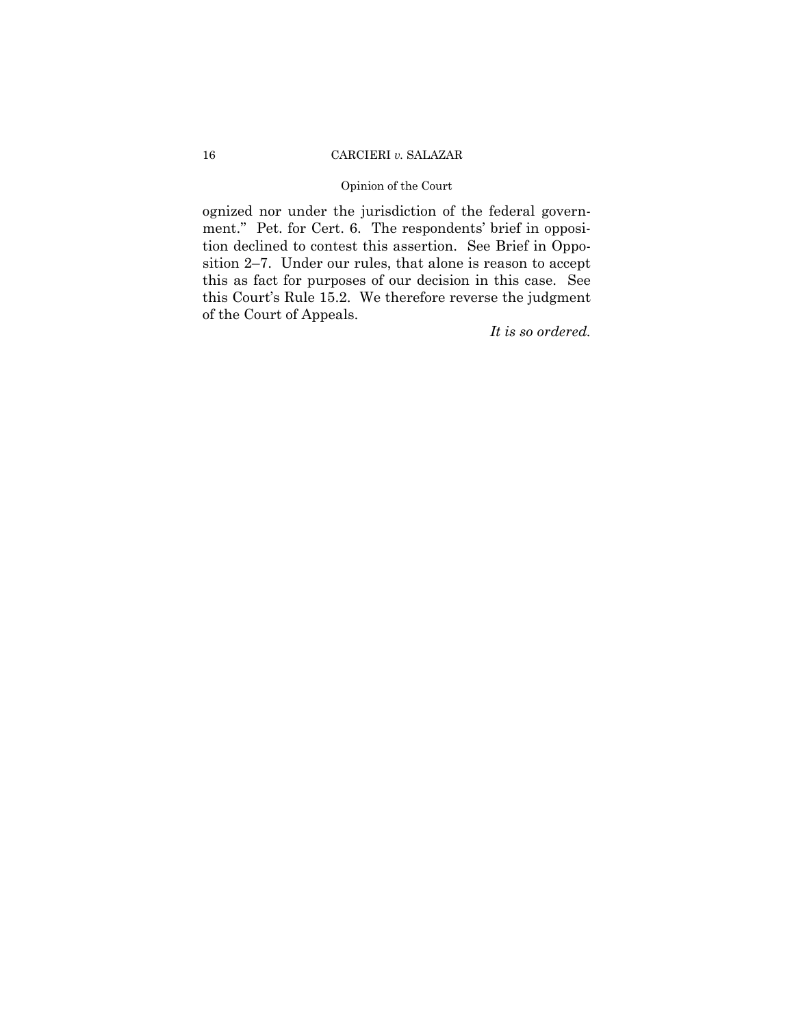## Opinion of the Court

ognized nor under the jurisdiction of the federal government.'' Pet. for Cert. 6. The respondents' brief in opposition declined to contest this assertion. See Brief in Opposition 2–7. Under our rules, that alone is reason to accept this as fact for purposes of our decision in this case. See this Court's Rule 15.2. We therefore reverse the judgment of the Court of Appeals.

*It is so ordered.*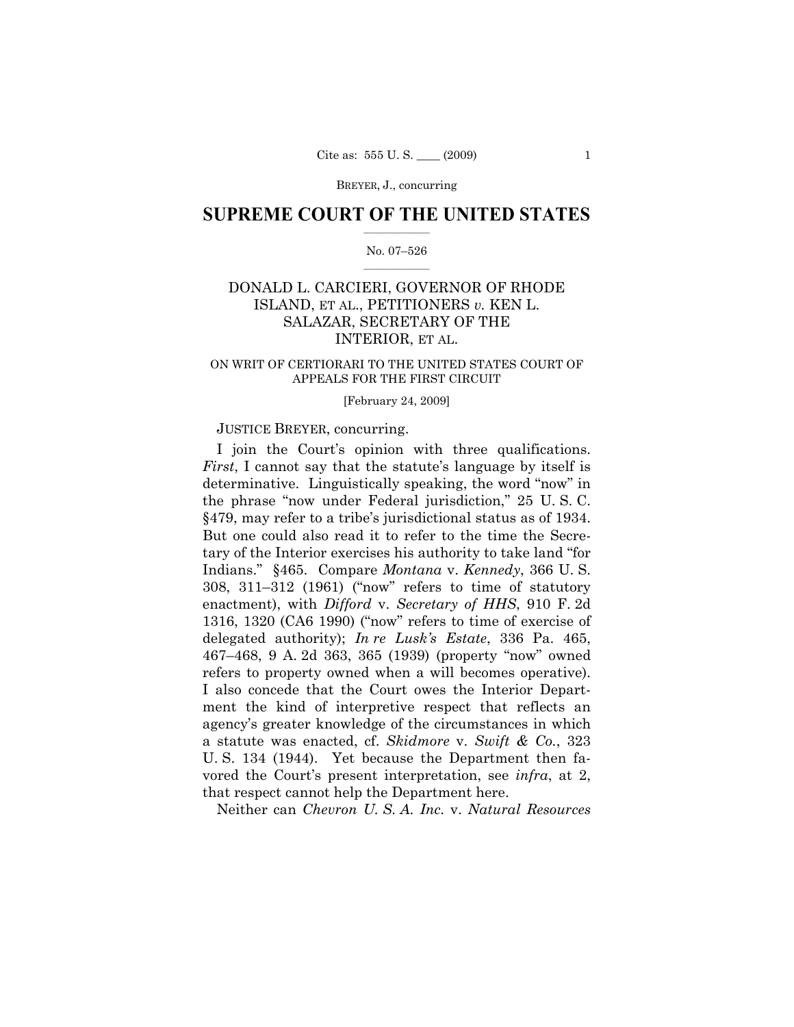BREYER, J., concurring

## $\frac{1}{2}$  ,  $\frac{1}{2}$  ,  $\frac{1}{2}$  ,  $\frac{1}{2}$  ,  $\frac{1}{2}$  ,  $\frac{1}{2}$  ,  $\frac{1}{2}$ **SUPREME COURT OF THE UNITED STATES**

## $\frac{1}{2}$  ,  $\frac{1}{2}$  ,  $\frac{1}{2}$  ,  $\frac{1}{2}$  ,  $\frac{1}{2}$  ,  $\frac{1}{2}$ No. 07–526

# DONALD L. CARCIERI, GOVERNOR OF RHODE ISLAND, ET AL., PETITIONERS *v.* KEN L. SALAZAR, SECRETARY OF THE INTERIOR, ET AL.

## ON WRIT OF CERTIORARI TO THE UNITED STATES COURT OF APPEALS FOR THE FIRST CIRCUIT

## [February 24, 2009]

## JUSTICE BREYER, concurring.

I join the Court's opinion with three qualifications. *First*, I cannot say that the statute's language by itself is determinative. Linguistically speaking, the word "now" in the phrase "now under Federal jurisdiction," 25 U. S. C. §479, may refer to a tribe's jurisdictional status as of 1934. But one could also read it to refer to the time the Secretary of the Interior exercises his authority to take land "for Indians." §465. Compare *Montana* v. *Kennedy*, 366 U. S. 308, 311–312 (1961) ("now" refers to time of statutory enactment), with *Difford* v. *Secretary of HHS*, 910 F. 2d 1316, 1320 (CA6 1990) ("now" refers to time of exercise of delegated authority); *In re Lusk's Estate*, 336 Pa. 465, 467–468, 9 A. 2d 363, 365 (1939) (property "now" owned refers to property owned when a will becomes operative). I also concede that the Court owes the Interior Department the kind of interpretive respect that reflects an agency's greater knowledge of the circumstances in which a statute was enacted, cf. *Skidmore* v. *Swift & Co.*, 323 U. S. 134 (1944). Yet because the Department then favored the Court's present interpretation, see *infra*, at 2, that respect cannot help the Department here.

Neither can *Chevron U. S. A. Inc.* v. *Natural Resources*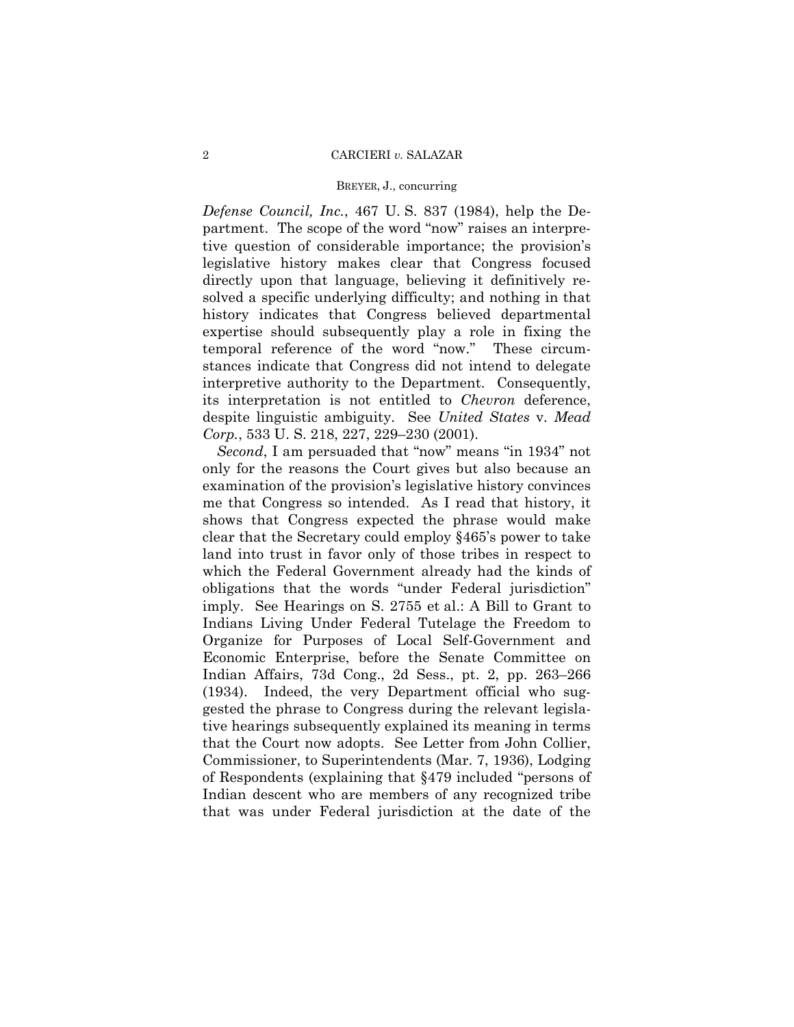## BREYER, J., concurring

*Defense Council, Inc.*, 467 U. S. 837 (1984), help the Department. The scope of the word "now" raises an interpretive question of considerable importance; the provision's legislative history makes clear that Congress focused directly upon that language, believing it definitively resolved a specific underlying difficulty; and nothing in that history indicates that Congress believed departmental expertise should subsequently play a role in fixing the temporal reference of the word "now." These circumstances indicate that Congress did not intend to delegate interpretive authority to the Department. Consequently, its interpretation is not entitled to *Chevron* deference, despite linguistic ambiguity. See *United States* v. *Mead Corp.*, 533 U. S. 218, 227, 229–230 (2001).

*Second*, I am persuaded that "now" means "in 1934" not only for the reasons the Court gives but also because an examination of the provision's legislative history convinces me that Congress so intended. As I read that history, it shows that Congress expected the phrase would make clear that the Secretary could employ §465's power to take land into trust in favor only of those tribes in respect to which the Federal Government already had the kinds of obligations that the words "under Federal jurisdiction" imply. See Hearings on S. 2755 et al.: A Bill to Grant to Indians Living Under Federal Tutelage the Freedom to Organize for Purposes of Local Self-Government and Economic Enterprise, before the Senate Committee on Indian Affairs, 73d Cong., 2d Sess., pt. 2, pp. 263–266 (1934). Indeed, the very Department official who suggested the phrase to Congress during the relevant legislative hearings subsequently explained its meaning in terms that the Court now adopts. See Letter from John Collier, Commissioner, to Superintendents (Mar. 7, 1936), Lodging of Respondents (explaining that §479 included "persons of Indian descent who are members of any recognized tribe that was under Federal jurisdiction at the date of the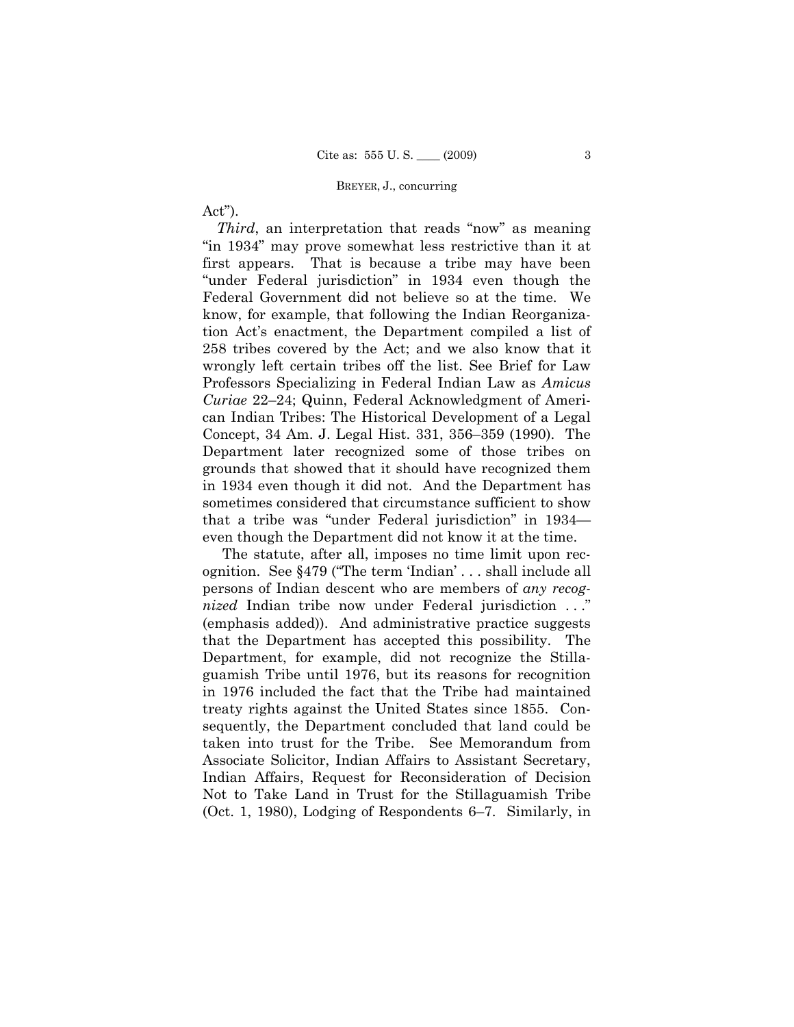## BREYER, J., concurring

Act").

*Third*, an interpretation that reads "now" as meaning "in 1934" may prove somewhat less restrictive than it at first appears. That is because a tribe may have been "under Federal jurisdiction" in 1934 even though the Federal Government did not believe so at the time. We know, for example, that following the Indian Reorganization Act's enactment, the Department compiled a list of 258 tribes covered by the Act; and we also know that it wrongly left certain tribes off the list. See Brief for Law Professors Specializing in Federal Indian Law as *Amicus Curiae* 22–24; Quinn, Federal Acknowledgment of American Indian Tribes: The Historical Development of a Legal Concept, 34 Am. J. Legal Hist. 331, 356–359 (1990). The Department later recognized some of those tribes on grounds that showed that it should have recognized them in 1934 even though it did not. And the Department has sometimes considered that circumstance sufficient to show that a tribe was "under Federal jurisdiction" in 1934 even though the Department did not know it at the time.

The statute, after all, imposes no time limit upon recognition. See §479 ("The term 'Indian' . . . shall include all persons of Indian descent who are members of *any recognized* Indian tribe now under Federal jurisdiction . . ." (emphasis added)). And administrative practice suggests that the Department has accepted this possibility. The Department, for example, did not recognize the Stillaguamish Tribe until 1976, but its reasons for recognition in 1976 included the fact that the Tribe had maintained treaty rights against the United States since 1855. Consequently, the Department concluded that land could be taken into trust for the Tribe. See Memorandum from Associate Solicitor, Indian Affairs to Assistant Secretary, Indian Affairs, Request for Reconsideration of Decision Not to Take Land in Trust for the Stillaguamish Tribe (Oct. 1, 1980), Lodging of Respondents 6–7. Similarly, in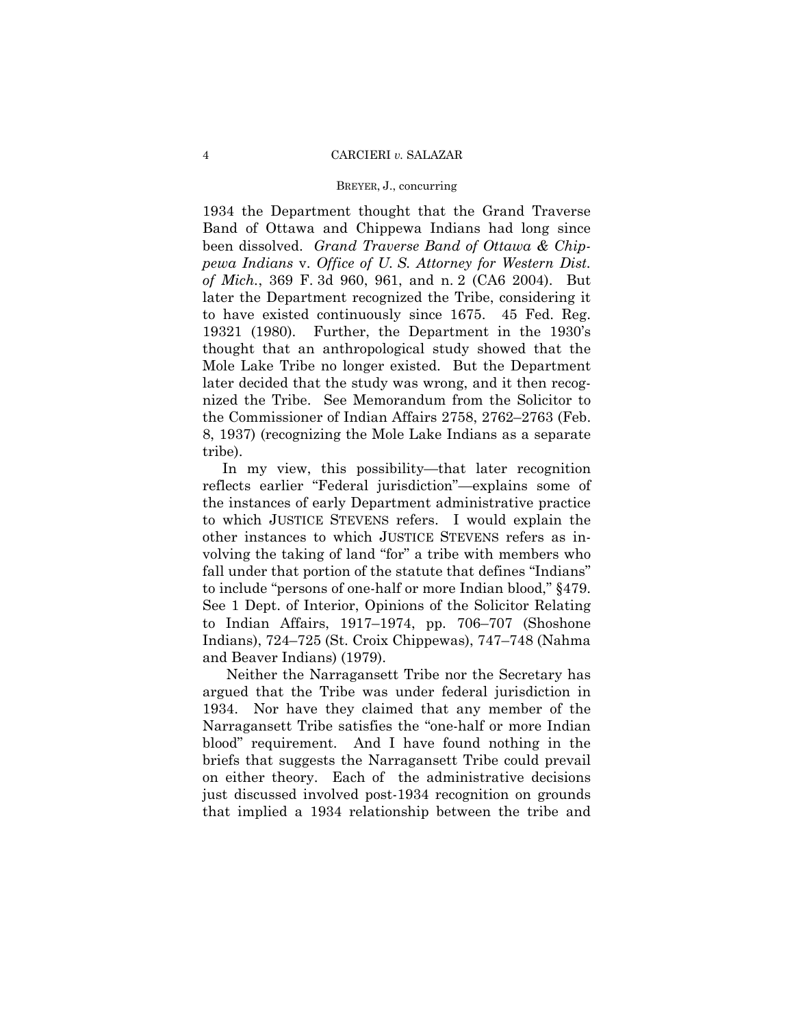### BREYER, J., concurring

1934 the Department thought that the Grand Traverse Band of Ottawa and Chippewa Indians had long since been dissolved. *Grand Traverse Band of Ottawa & Chippewa Indians* v. *Office of U. S. Attorney for Western Dist. of Mich.*, 369 F. 3d 960, 961, and n. 2 (CA6 2004). But later the Department recognized the Tribe, considering it to have existed continuously since 1675. 45 Fed. Reg. 19321 (1980). Further, the Department in the 1930's thought that an anthropological study showed that the Mole Lake Tribe no longer existed. But the Department later decided that the study was wrong, and it then recognized the Tribe. See Memorandum from the Solicitor to the Commissioner of Indian Affairs 2758, 2762–2763 (Feb. 8, 1937) (recognizing the Mole Lake Indians as a separate tribe).

 In my view, this possibility—that later recognition reflects earlier "Federal jurisdiction"—explains some of the instances of early Department administrative practice to which JUSTICE STEVENS refers. I would explain the other instances to which JUSTICE STEVENS refers as involving the taking of land "for" a tribe with members who fall under that portion of the statute that defines "Indians" to include "persons of one-half or more Indian blood," §479. See 1 Dept. of Interior, Opinions of the Solicitor Relating to Indian Affairs, 1917–1974, pp. 706–707 (Shoshone Indians), 724–725 (St. Croix Chippewas), 747–748 (Nahma and Beaver Indians) (1979).

 Neither the Narragansett Tribe nor the Secretary has argued that the Tribe was under federal jurisdiction in 1934. Nor have they claimed that any member of the Narragansett Tribe satisfies the "one-half or more Indian blood" requirement. And I have found nothing in the briefs that suggests the Narragansett Tribe could prevail on either theory. Each of the administrative decisions just discussed involved post-1934 recognition on grounds that implied a 1934 relationship between the tribe and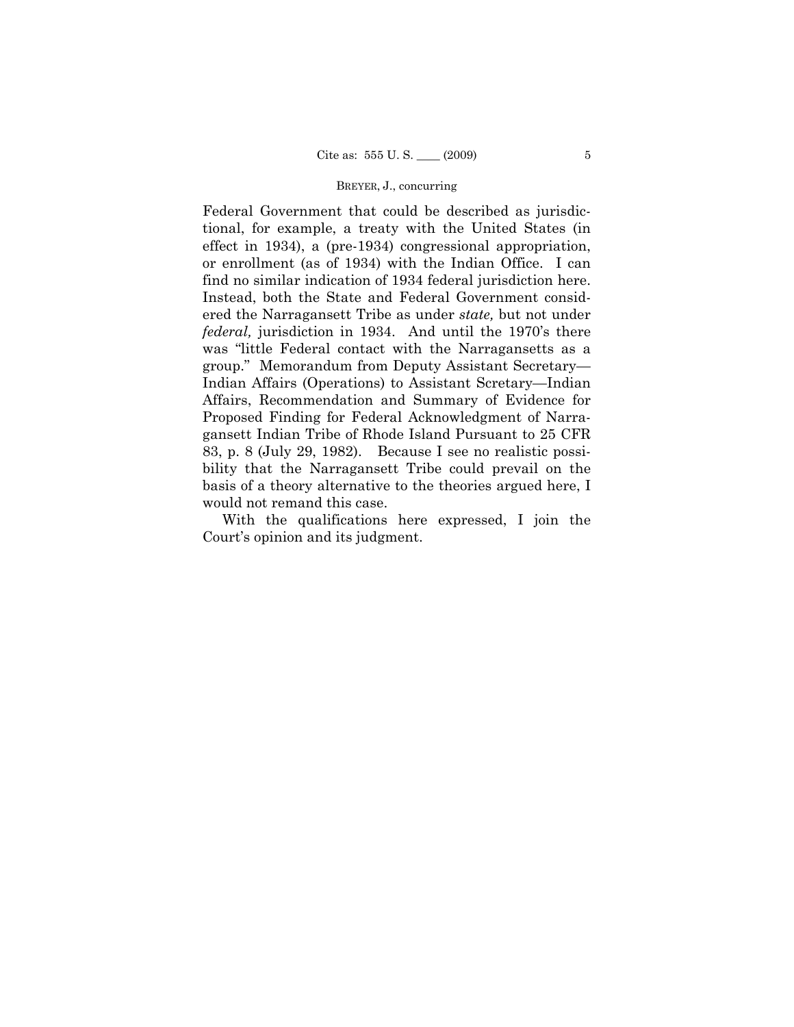## BREYER, J., concurring

Federal Government that could be described as jurisdictional, for example, a treaty with the United States (in effect in 1934), a (pre-1934) congressional appropriation, or enrollment (as of 1934) with the Indian Office. I can find no similar indication of 1934 federal jurisdiction here. Instead, both the State and Federal Government considered the Narragansett Tribe as under *state,* but not under *federal,* jurisdiction in 1934. And until the 1970's there was "little Federal contact with the Narragansetts as a group." Memorandum from Deputy Assistant Secretary— Indian Affairs (Operations) to Assistant Scretary—Indian Affairs, Recommendation and Summary of Evidence for Proposed Finding for Federal Acknowledgment of Narragansett Indian Tribe of Rhode Island Pursuant to 25 CFR 83, p. 8 (July 29, 1982). Because I see no realistic possibility that the Narragansett Tribe could prevail on the basis of a theory alternative to the theories argued here, I would not remand this case.

With the qualifications here expressed, I join the Court's opinion and its judgment.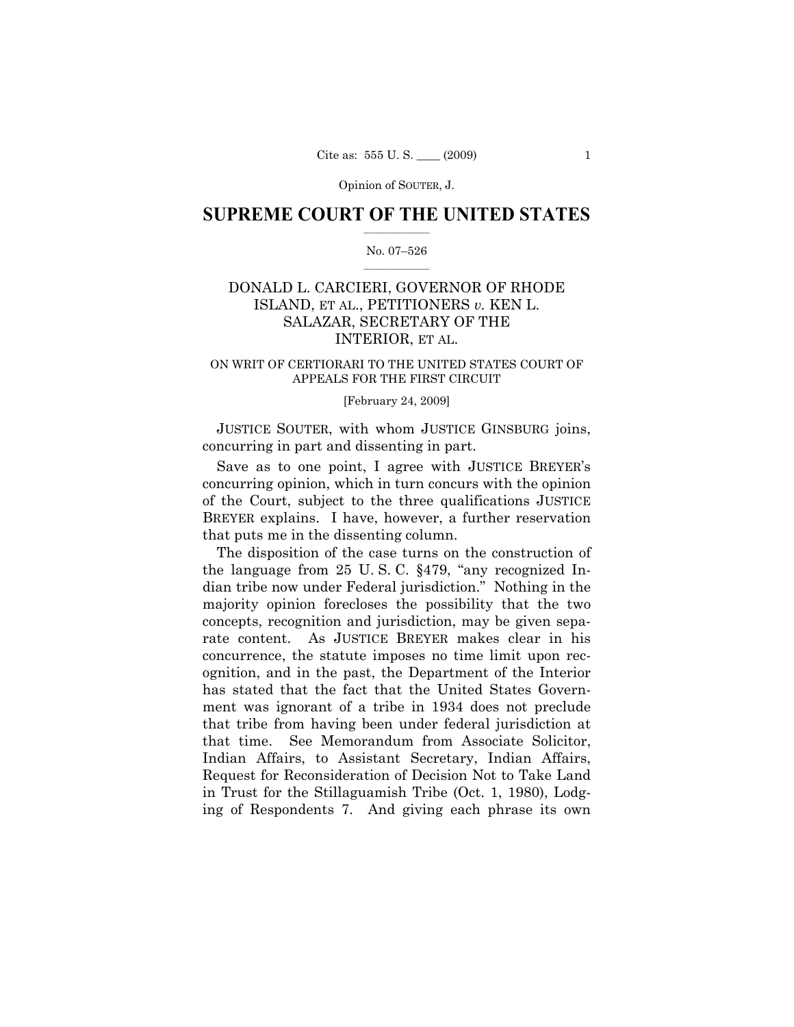Opinion of SOUTER, J.

## $\frac{1}{2}$  ,  $\frac{1}{2}$  ,  $\frac{1}{2}$  ,  $\frac{1}{2}$  ,  $\frac{1}{2}$  ,  $\frac{1}{2}$  ,  $\frac{1}{2}$ **SUPREME COURT OF THE UNITED STATES**

## $\frac{1}{2}$  ,  $\frac{1}{2}$  ,  $\frac{1}{2}$  ,  $\frac{1}{2}$  ,  $\frac{1}{2}$  ,  $\frac{1}{2}$ No. 07–526

# DONALD L. CARCIERI, GOVERNOR OF RHODE ISLAND, ET AL., PETITIONERS *v.* KEN L. SALAZAR, SECRETARY OF THE INTERIOR, ET AL.

## ON WRIT OF CERTIORARI TO THE UNITED STATES COURT OF APPEALS FOR THE FIRST CIRCUIT

## [February 24, 2009]

JUSTICE SOUTER, with whom JUSTICE GINSBURG joins, concurring in part and dissenting in part.

Save as to one point, I agree with JUSTICE BREYER's concurring opinion, which in turn concurs with the opinion of the Court, subject to the three qualifications JUSTICE BREYER explains. I have, however, a further reservation that puts me in the dissenting column.

The disposition of the case turns on the construction of the language from 25 U. S. C. §479, "any recognized Indian tribe now under Federal jurisdiction." Nothing in the majority opinion forecloses the possibility that the two concepts, recognition and jurisdiction, may be given separate content. As JUSTICE BREYER makes clear in his concurrence, the statute imposes no time limit upon recognition, and in the past, the Department of the Interior has stated that the fact that the United States Government was ignorant of a tribe in 1934 does not preclude that tribe from having been under federal jurisdiction at that time. See Memorandum from Associate Solicitor, Indian Affairs, to Assistant Secretary, Indian Affairs, Request for Reconsideration of Decision Not to Take Land in Trust for the Stillaguamish Tribe (Oct. 1, 1980), Lodging of Respondents 7. And giving each phrase its own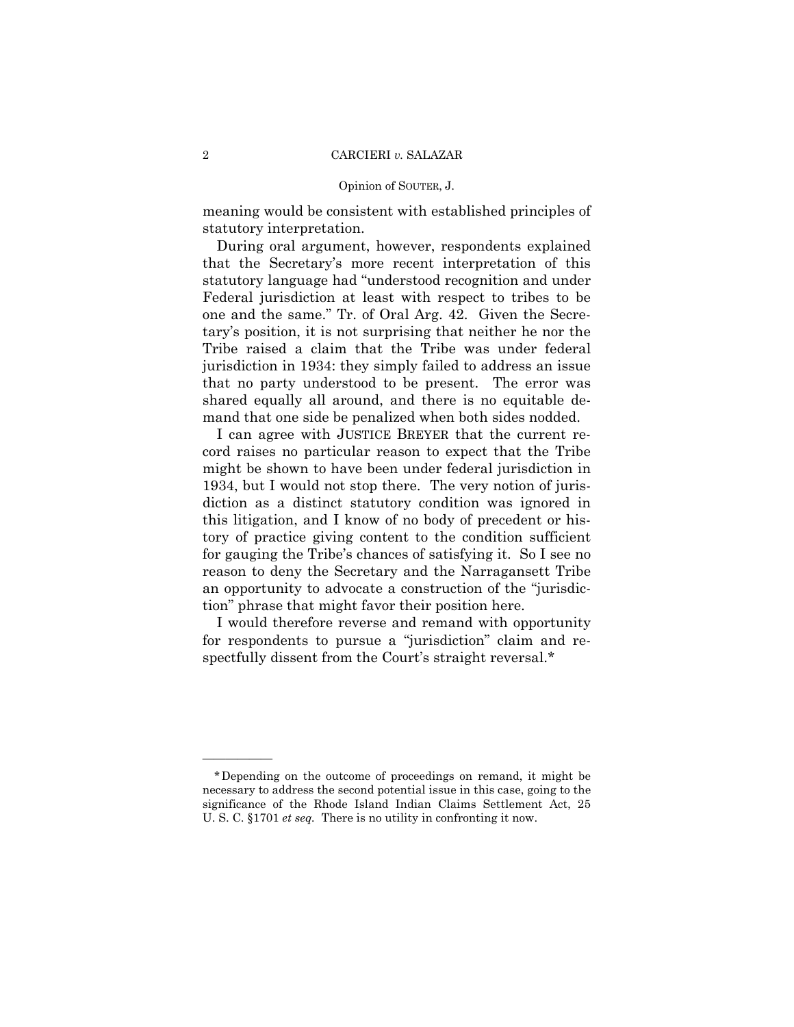#### Opinion of SOUTER, J.

meaning would be consistent with established principles of statutory interpretation.

During oral argument, however, respondents explained that the Secretary's more recent interpretation of this statutory language had "understood recognition and under Federal jurisdiction at least with respect to tribes to be one and the same." Tr. of Oral Arg. 42. Given the Secretary's position, it is not surprising that neither he nor the Tribe raised a claim that the Tribe was under federal jurisdiction in 1934: they simply failed to address an issue that no party understood to be present. The error was shared equally all around, and there is no equitable demand that one side be penalized when both sides nodded.

I can agree with JUSTICE BREYER that the current record raises no particular reason to expect that the Tribe might be shown to have been under federal jurisdiction in 1934, but I would not stop there. The very notion of jurisdiction as a distinct statutory condition was ignored in this litigation, and I know of no body of precedent or history of practice giving content to the condition sufficient for gauging the Tribe's chances of satisfying it. So I see no reason to deny the Secretary and the Narragansett Tribe an opportunity to advocate a construction of the "jurisdiction" phrase that might favor their position here.

I would therefore reverse and remand with opportunity for respondents to pursue a "jurisdiction" claim and respectfully dissent from the Court's straight reversal.\*

<sup>\*</sup>Depending on the outcome of proceedings on remand, it might be necessary to address the second potential issue in this case, going to the significance of the Rhode Island Indian Claims Settlement Act, 25 U. S. C. §1701 *et seq.* There is no utility in confronting it now.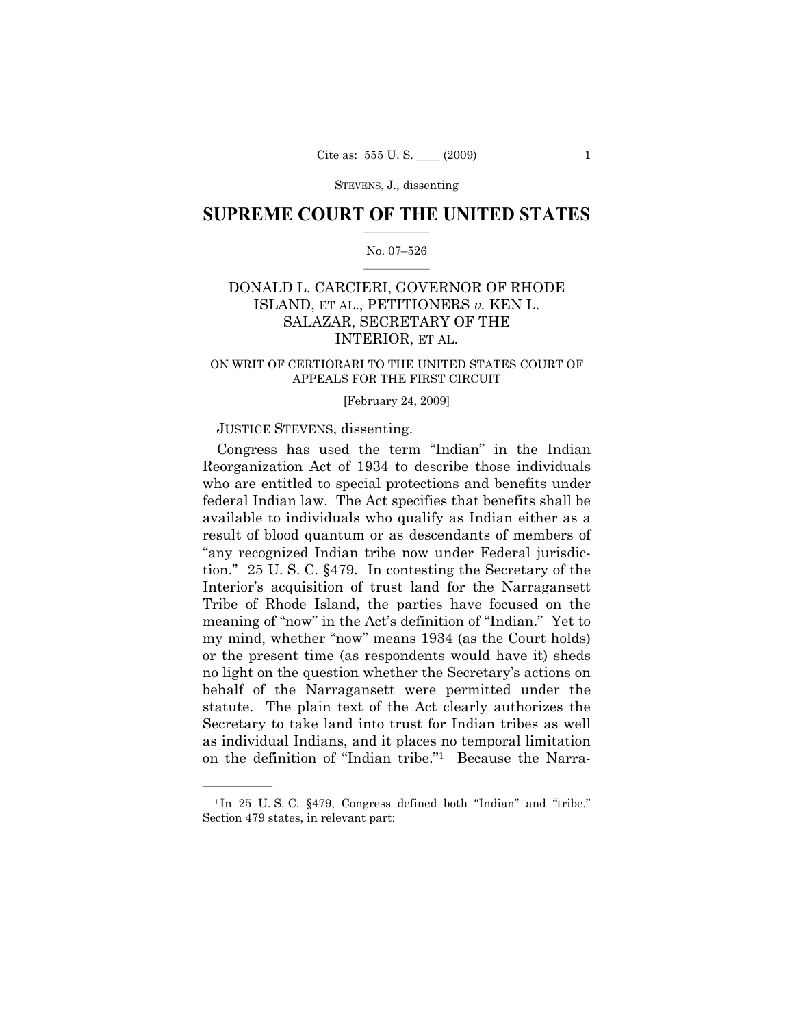## $\frac{1}{2}$  ,  $\frac{1}{2}$  ,  $\frac{1}{2}$  ,  $\frac{1}{2}$  ,  $\frac{1}{2}$  ,  $\frac{1}{2}$  ,  $\frac{1}{2}$ **SUPREME COURT OF THE UNITED STATES**

## $\frac{1}{2}$  ,  $\frac{1}{2}$  ,  $\frac{1}{2}$  ,  $\frac{1}{2}$  ,  $\frac{1}{2}$  ,  $\frac{1}{2}$ No. 07–526

# DONALD L. CARCIERI, GOVERNOR OF RHODE ISLAND, ET AL., PETITIONERS *v.* KEN L. SALAZAR, SECRETARY OF THE INTERIOR, ET AL.

## ON WRIT OF CERTIORARI TO THE UNITED STATES COURT OF APPEALS FOR THE FIRST CIRCUIT

## [February 24, 2009]

## JUSTICE STEVENS, dissenting.

——————

Congress has used the term "Indian" in the Indian Reorganization Act of 1934 to describe those individuals who are entitled to special protections and benefits under federal Indian law. The Act specifies that benefits shall be available to individuals who qualify as Indian either as a result of blood quantum or as descendants of members of "any recognized Indian tribe now under Federal jurisdiction." 25 U. S. C. §479. In contesting the Secretary of the Interior's acquisition of trust land for the Narragansett Tribe of Rhode Island, the parties have focused on the meaning of "now" in the Act's definition of "Indian." Yet to my mind, whether "now" means 1934 (as the Court holds) or the present time (as respondents would have it) sheds no light on the question whether the Secretary's actions on behalf of the Narragansett were permitted under the statute. The plain text of the Act clearly authorizes the Secretary to take land into trust for Indian tribes as well as individual Indians, and it places no temporal limitation on the definition of "Indian tribe."1 Because the Narra-

<sup>1</sup> In 25 U. S. C. §479, Congress defined both "Indian" and "tribe." Section 479 states, in relevant part: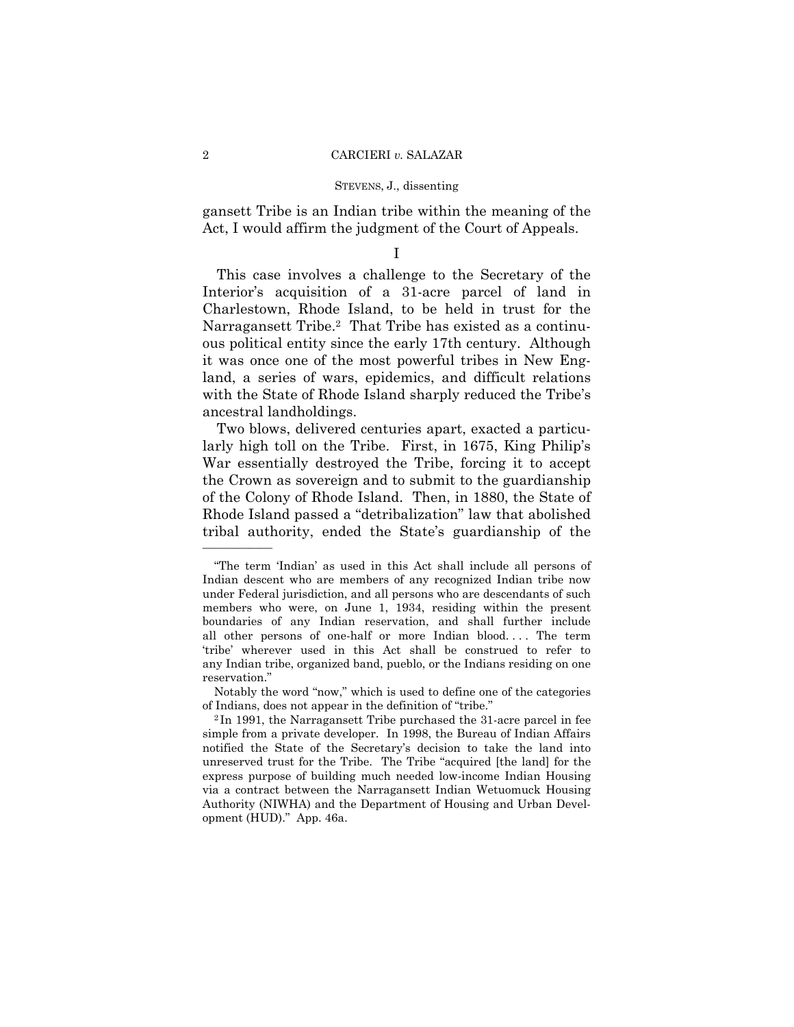gansett Tribe is an Indian tribe within the meaning of the Act, I would affirm the judgment of the Court of Appeals.

I

This case involves a challenge to the Secretary of the Interior's acquisition of a 31-acre parcel of land in Charlestown, Rhode Island, to be held in trust for the Narragansett Tribe.<sup>2</sup> That Tribe has existed as a continuous political entity since the early 17th century. Although it was once one of the most powerful tribes in New England, a series of wars, epidemics, and difficult relations with the State of Rhode Island sharply reduced the Tribe's ancestral landholdings.

Two blows, delivered centuries apart, exacted a particularly high toll on the Tribe. First, in 1675, King Philip's War essentially destroyed the Tribe, forcing it to accept the Crown as sovereign and to submit to the guardianship of the Colony of Rhode Island. Then, in 1880, the State of Rhode Island passed a "detribalization" law that abolished tribal authority, ended the State's guardianship of the

<sup>&</sup>quot;The term 'Indian' as used in this Act shall include all persons of Indian descent who are members of any recognized Indian tribe now under Federal jurisdiction, and all persons who are descendants of such members who were, on June 1, 1934, residing within the present boundaries of any Indian reservation, and shall further include all other persons of one-half or more Indian blood. . . . The term 'tribe' wherever used in this Act shall be construed to refer to any Indian tribe, organized band, pueblo, or the Indians residing on one reservation."

Notably the word "now," which is used to define one of the categories of Indians, does not appear in the definition of "tribe." 2 In 1991, the Narragansett Tribe purchased the 31-acre parcel in fee

simple from a private developer. In 1998, the Bureau of Indian Affairs notified the State of the Secretary's decision to take the land into unreserved trust for the Tribe. The Tribe "acquired [the land] for the express purpose of building much needed low-income Indian Housing via a contract between the Narragansett Indian Wetuomuck Housing Authority (NIWHA) and the Department of Housing and Urban Development (HUD)." App. 46a.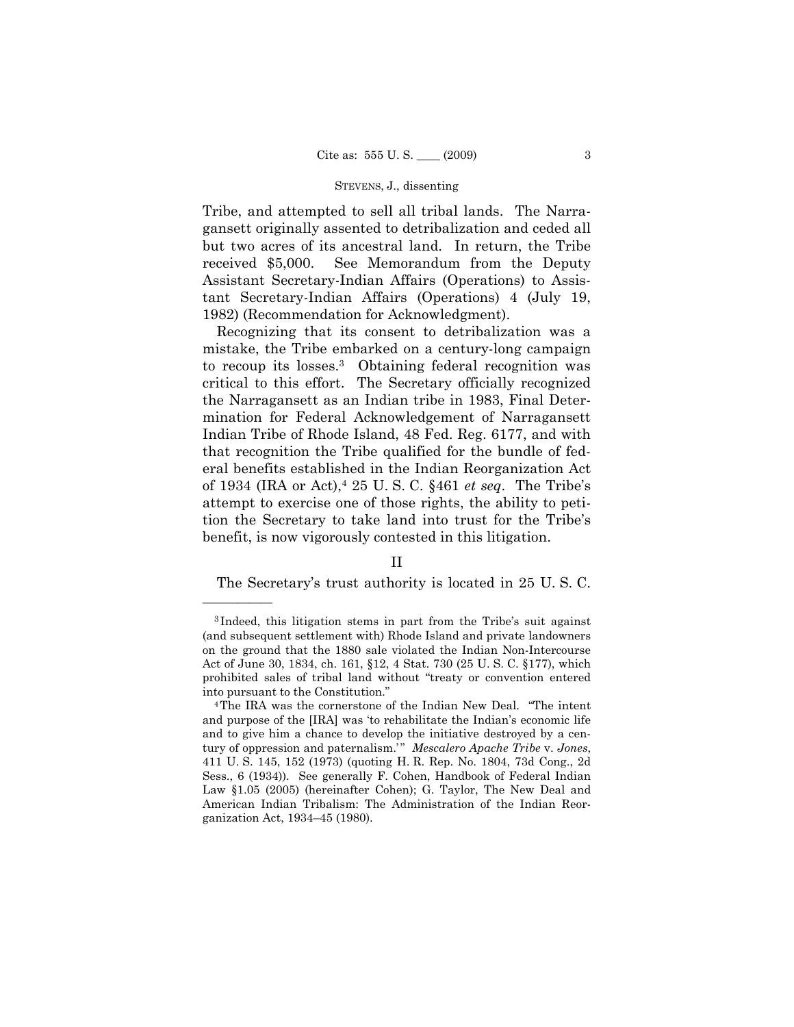Tribe, and attempted to sell all tribal lands. The Narragansett originally assented to detribalization and ceded all but two acres of its ancestral land. In return, the Tribe received \$5,000. See Memorandum from the Deputy Assistant Secretary-Indian Affairs (Operations) to Assistant Secretary-Indian Affairs (Operations) 4 (July 19, 1982) (Recommendation for Acknowledgment).

Recognizing that its consent to detribalization was a mistake, the Tribe embarked on a century-long campaign to recoup its losses.3 Obtaining federal recognition was critical to this effort. The Secretary officially recognized the Narragansett as an Indian tribe in 1983, Final Determination for Federal Acknowledgement of Narragansett Indian Tribe of Rhode Island, 48 Fed. Reg. 6177, and with that recognition the Tribe qualified for the bundle of federal benefits established in the Indian Reorganization Act of 1934 (IRA or Act),4 25 U. S. C. §461 *et seq*. The Tribe's attempt to exercise one of those rights, the ability to petition the Secretary to take land into trust for the Tribe's benefit, is now vigorously contested in this litigation.

——————

The Secretary's trust authority is located in 25 U. S. C.

II

<sup>3</sup> Indeed, this litigation stems in part from the Tribe's suit against (and subsequent settlement with) Rhode Island and private landowners on the ground that the 1880 sale violated the Indian Non-Intercourse Act of June 30, 1834, ch. 161, §12, 4 Stat. 730 (25 U. S. C. §177), which prohibited sales of tribal land without "treaty or convention entered into pursuant to the Constitution." 4The IRA was the cornerstone of the Indian New Deal. "The intent

and purpose of the [IRA] was 'to rehabilitate the Indian's economic life and to give him a chance to develop the initiative destroyed by a century of oppression and paternalism." Mescalero Apache Tribe v. Jones, 411 U. S. 145, 152 (1973) (quoting H. R. Rep. No. 1804, 73d Cong., 2d Sess., 6 (1934)). See generally F. Cohen, Handbook of Federal Indian Law §1.05 (2005) (hereinafter Cohen); G. Taylor, The New Deal and American Indian Tribalism: The Administration of the Indian Reorganization Act, 1934–45 (1980).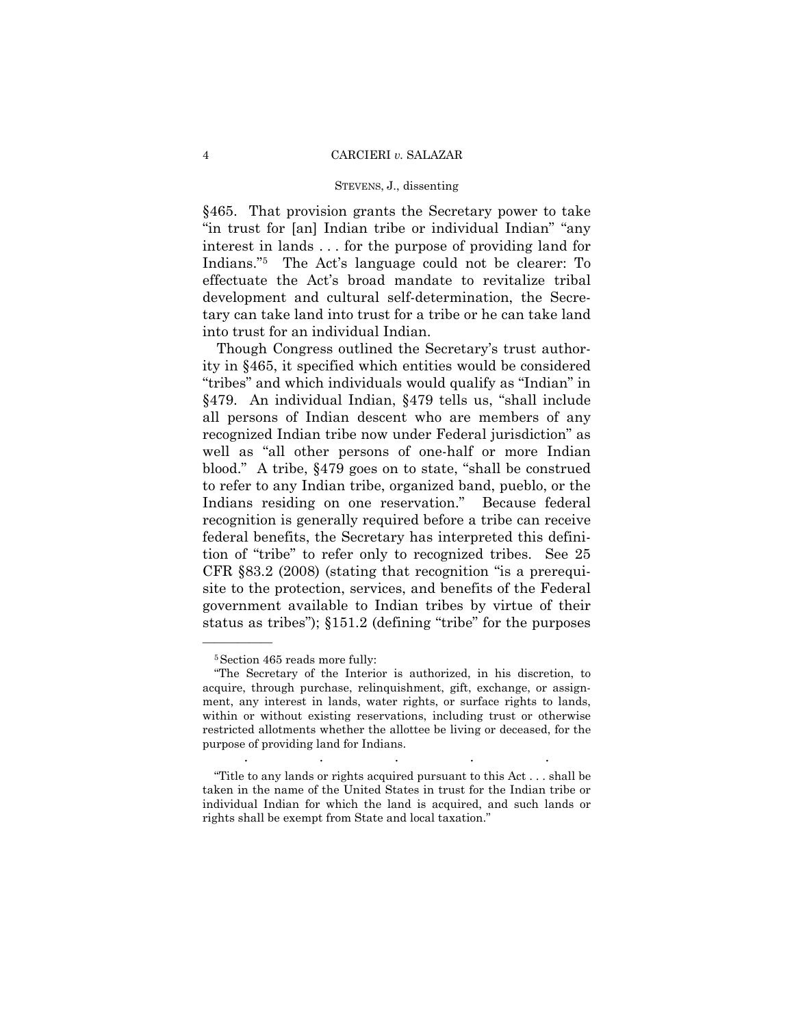### STEVENS, J., dissenting

§465. That provision grants the Secretary power to take "in trust for [an] Indian tribe or individual Indian" "any interest in lands . . . for the purpose of providing land for Indians."5 The Act's language could not be clearer: To effectuate the Act's broad mandate to revitalize tribal development and cultural self-determination, the Secretary can take land into trust for a tribe or he can take land into trust for an individual Indian.

Though Congress outlined the Secretary's trust authority in §465, it specified which entities would be considered "tribes" and which individuals would qualify as "Indian" in §479. An individual Indian, §479 tells us, "shall include all persons of Indian descent who are members of any recognized Indian tribe now under Federal jurisdiction" as well as "all other persons of one-half or more Indian blood." A tribe, §479 goes on to state, "shall be construed to refer to any Indian tribe, organized band, pueblo, or the Indians residing on one reservation." Because federal recognition is generally required before a tribe can receive federal benefits, the Secretary has interpreted this definition of "tribe" to refer only to recognized tribes. See 25 CFR §83.2 (2008) (stating that recognition "is a prerequisite to the protection, services, and benefits of the Federal government available to Indian tribes by virtue of their status as tribes"); §151.2 (defining "tribe" for the purposes

<sup>5</sup>Section 465 reads more fully:

<sup>&</sup>quot;The Secretary of the Interior is authorized, in his discretion, to acquire, through purchase, relinquishment, gift, exchange, or assignment, any interest in lands, water rights, or surface rights to lands, within or without existing reservations, including trust or otherwise restricted allotments whether the allottee be living or deceased, for the purpose of providing land for Indians. . The same is a set of the same in the same in the same is a set of the same in the same in the same in the same in  $\mathcal{L}_\mathbf{z}$ 

<sup>&</sup>quot;Title to any lands or rights acquired pursuant to this Act . . . shall be taken in the name of the United States in trust for the Indian tribe or individual Indian for which the land is acquired, and such lands or rights shall be exempt from State and local taxation."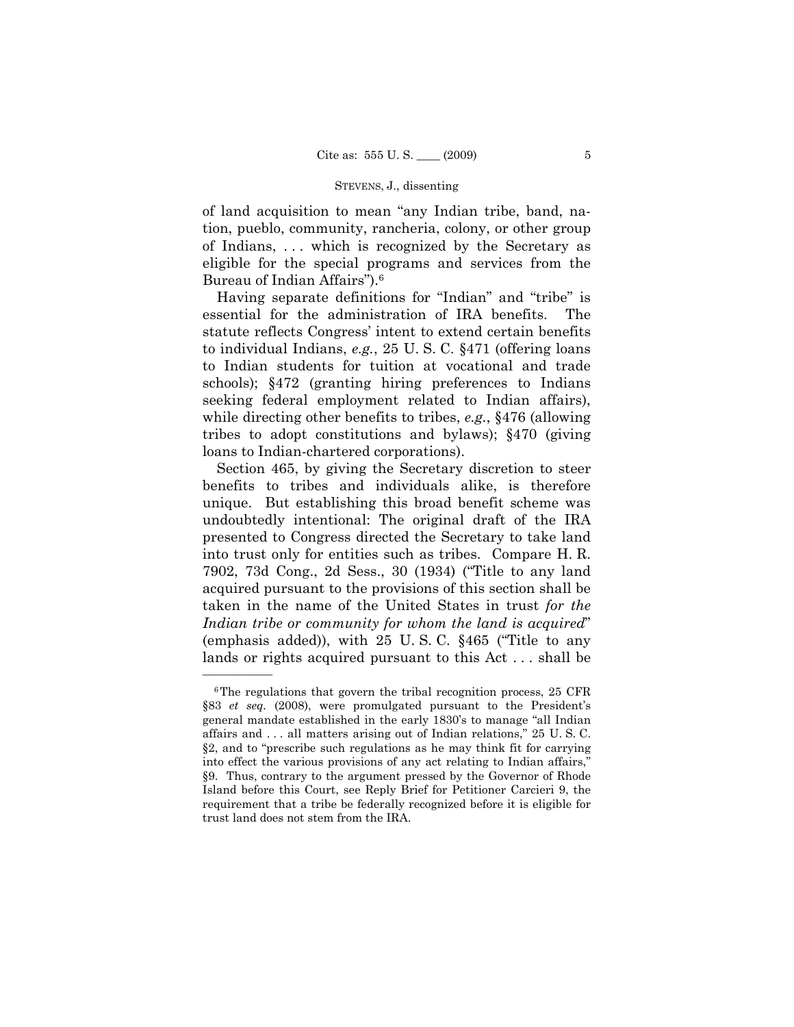of land acquisition to mean "any Indian tribe, band, nation, pueblo, community, rancheria, colony, or other group of Indians, . . . which is recognized by the Secretary as eligible for the special programs and services from the Bureau of Indian Affairs").6

Having separate definitions for "Indian" and "tribe" is essential for the administration of IRA benefits. The statute reflects Congress' intent to extend certain benefits to individual Indians, *e.g.*, 25 U. S. C. §471 (offering loans to Indian students for tuition at vocational and trade schools); §472 (granting hiring preferences to Indians seeking federal employment related to Indian affairs), while directing other benefits to tribes, *e.g.*, §476 (allowing tribes to adopt constitutions and bylaws); §470 (giving loans to Indian-chartered corporations).

Section 465, by giving the Secretary discretion to steer benefits to tribes and individuals alike, is therefore unique. But establishing this broad benefit scheme was undoubtedly intentional: The original draft of the IRA presented to Congress directed the Secretary to take land into trust only for entities such as tribes. Compare H. R. 7902, 73d Cong., 2d Sess., 30 (1934) ("Title to any land acquired pursuant to the provisions of this section shall be taken in the name of the United States in trust *for the Indian tribe or community for whom the land is acquired*" (emphasis added)), with 25 U. S. C. §465 ("Title to any lands or rights acquired pursuant to this Act . . . shall be

<sup>&</sup>lt;sup>6</sup>The regulations that govern the tribal recognition process, 25 CFR §83 *et seq.* (2008), were promulgated pursuant to the President's general mandate established in the early 1830's to manage "all Indian affairs and . . . all matters arising out of Indian relations," 25 U. S. C. §2, and to "prescribe such regulations as he may think fit for carrying into effect the various provisions of any act relating to Indian affairs," §9. Thus, contrary to the argument pressed by the Governor of Rhode Island before this Court, see Reply Brief for Petitioner Carcieri 9, the requirement that a tribe be federally recognized before it is eligible for trust land does not stem from the IRA.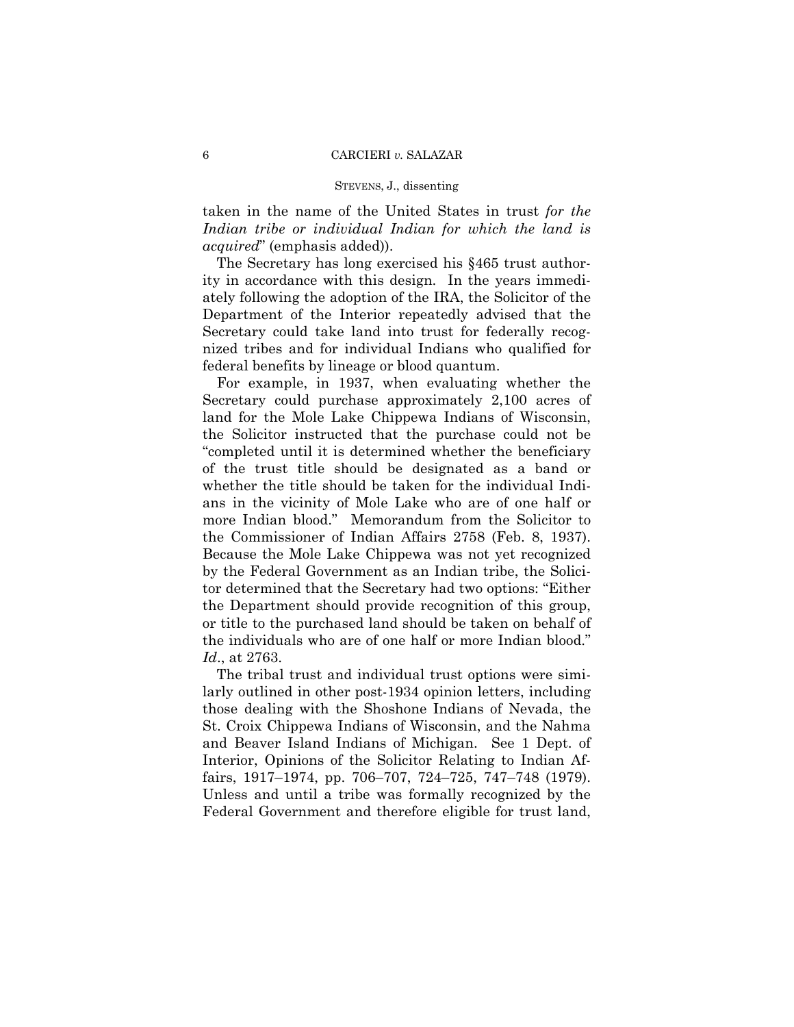taken in the name of the United States in trust *for the Indian tribe or individual Indian for which the land is acquired*" (emphasis added)).

The Secretary has long exercised his §465 trust authority in accordance with this design. In the years immediately following the adoption of the IRA, the Solicitor of the Department of the Interior repeatedly advised that the Secretary could take land into trust for federally recognized tribes and for individual Indians who qualified for federal benefits by lineage or blood quantum.

For example, in 1937, when evaluating whether the Secretary could purchase approximately 2,100 acres of land for the Mole Lake Chippewa Indians of Wisconsin, the Solicitor instructed that the purchase could not be "completed until it is determined whether the beneficiary of the trust title should be designated as a band or whether the title should be taken for the individual Indians in the vicinity of Mole Lake who are of one half or more Indian blood." Memorandum from the Solicitor to the Commissioner of Indian Affairs 2758 (Feb. 8, 1937). Because the Mole Lake Chippewa was not yet recognized by the Federal Government as an Indian tribe, the Solicitor determined that the Secretary had two options: "Either the Department should provide recognition of this group, or title to the purchased land should be taken on behalf of the individuals who are of one half or more Indian blood." *Id*., at 2763.

The tribal trust and individual trust options were similarly outlined in other post-1934 opinion letters, including those dealing with the Shoshone Indians of Nevada, the St. Croix Chippewa Indians of Wisconsin, and the Nahma and Beaver Island Indians of Michigan. See 1 Dept. of Interior, Opinions of the Solicitor Relating to Indian Affairs, 1917–1974, pp. 706–707, 724–725, 747–748 (1979). Unless and until a tribe was formally recognized by the Federal Government and therefore eligible for trust land,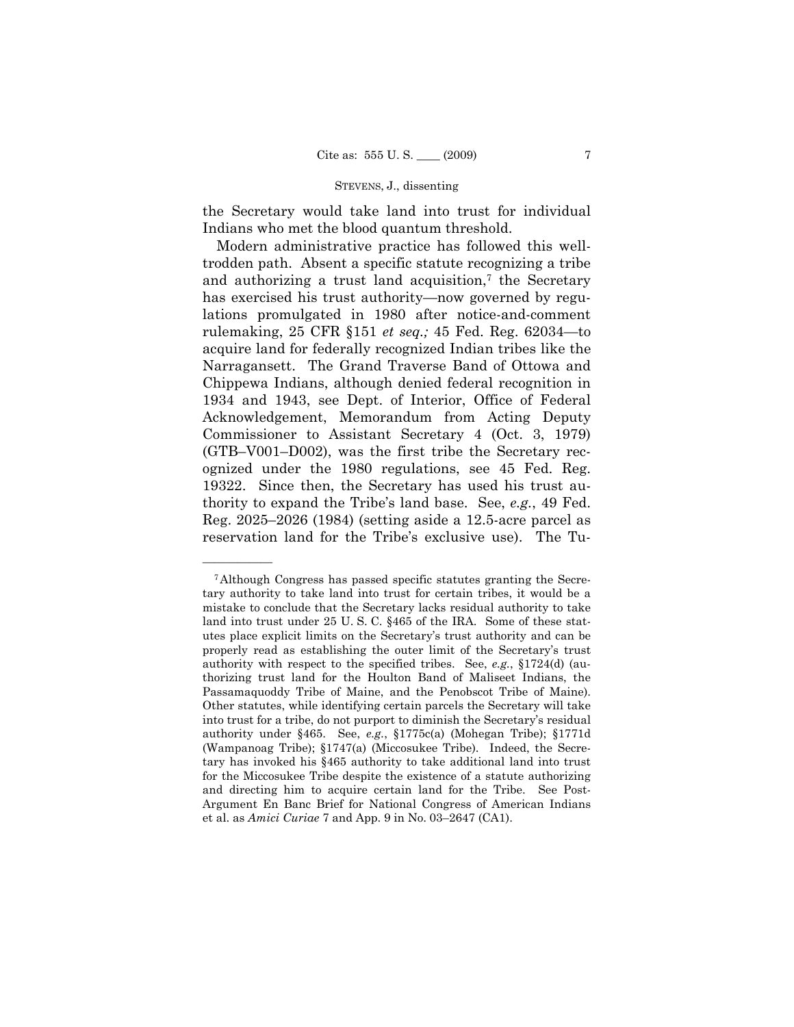the Secretary would take land into trust for individual Indians who met the blood quantum threshold.

Modern administrative practice has followed this welltrodden path. Absent a specific statute recognizing a tribe and authorizing a trust land acquisition, $\tau$  the Secretary has exercised his trust authority—now governed by regulations promulgated in 1980 after notice-and-comment rulemaking, 25 CFR §151 *et seq.;* 45 Fed. Reg. 62034—to acquire land for federally recognized Indian tribes like the Narragansett. The Grand Traverse Band of Ottowa and Chippewa Indians, although denied federal recognition in 1934 and 1943, see Dept. of Interior, Office of Federal Acknowledgement, Memorandum from Acting Deputy Commissioner to Assistant Secretary 4 (Oct. 3, 1979) (GTB–V001–D002), was the first tribe the Secretary recognized under the 1980 regulations, see 45 Fed. Reg. 19322. Since then, the Secretary has used his trust authority to expand the Tribe's land base. See, *e.g.*, 49 Fed. Reg. 2025–2026 (1984) (setting aside a 12.5-acre parcel as reservation land for the Tribe's exclusive use). The Tu-

<sup>7</sup>Although Congress has passed specific statutes granting the Secretary authority to take land into trust for certain tribes, it would be a mistake to conclude that the Secretary lacks residual authority to take land into trust under 25 U. S. C. §465 of the IRA. Some of these statutes place explicit limits on the Secretary's trust authority and can be properly read as establishing the outer limit of the Secretary's trust authority with respect to the specified tribes. See, *e.g.*, §1724(d) (authorizing trust land for the Houlton Band of Maliseet Indians, the Passamaquoddy Tribe of Maine, and the Penobscot Tribe of Maine). Other statutes, while identifying certain parcels the Secretary will take into trust for a tribe, do not purport to diminish the Secretary's residual authority under §465. See, *e.g.*, §1775c(a) (Mohegan Tribe); §1771d (Wampanoag Tribe); §1747(a) (Miccosukee Tribe). Indeed, the Secretary has invoked his §465 authority to take additional land into trust for the Miccosukee Tribe despite the existence of a statute authorizing and directing him to acquire certain land for the Tribe. See Post-Argument En Banc Brief for National Congress of American Indians et al. as *Amici Curiae* 7 and App. 9 in No. 03–2647 (CA1).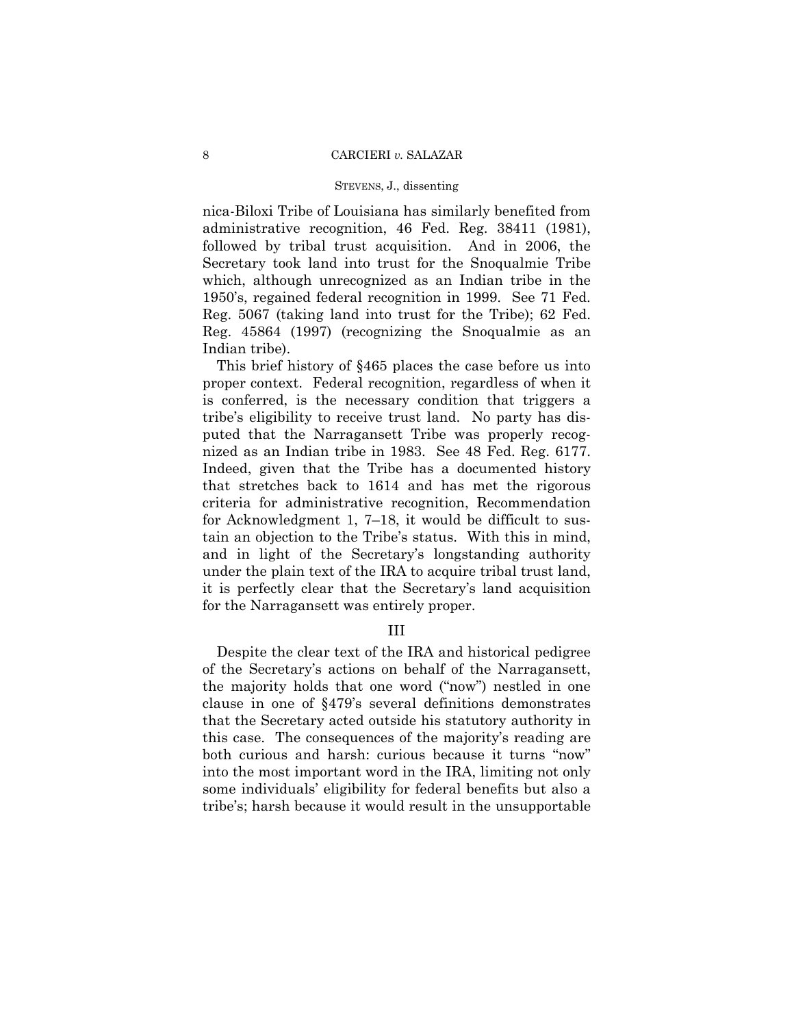nica-Biloxi Tribe of Louisiana has similarly benefited from administrative recognition, 46 Fed. Reg. 38411 (1981), followed by tribal trust acquisition. And in 2006, the Secretary took land into trust for the Snoqualmie Tribe which, although unrecognized as an Indian tribe in the 1950's, regained federal recognition in 1999. See 71 Fed. Reg. 5067 (taking land into trust for the Tribe); 62 Fed. Reg. 45864 (1997) (recognizing the Snoqualmie as an Indian tribe).

This brief history of §465 places the case before us into proper context. Federal recognition, regardless of when it is conferred, is the necessary condition that triggers a tribe's eligibility to receive trust land. No party has disputed that the Narragansett Tribe was properly recognized as an Indian tribe in 1983. See 48 Fed. Reg. 6177. Indeed, given that the Tribe has a documented history that stretches back to 1614 and has met the rigorous criteria for administrative recognition, Recommendation for Acknowledgment 1, 7–18, it would be difficult to sustain an objection to the Tribe's status. With this in mind, and in light of the Secretary's longstanding authority under the plain text of the IRA to acquire tribal trust land, it is perfectly clear that the Secretary's land acquisition for the Narragansett was entirely proper.

## III

Despite the clear text of the IRA and historical pedigree of the Secretary's actions on behalf of the Narragansett, the majority holds that one word ("now") nestled in one clause in one of §479's several definitions demonstrates that the Secretary acted outside his statutory authority in this case. The consequences of the majority's reading are both curious and harsh: curious because it turns "now" into the most important word in the IRA, limiting not only some individuals' eligibility for federal benefits but also a tribe's; harsh because it would result in the unsupportable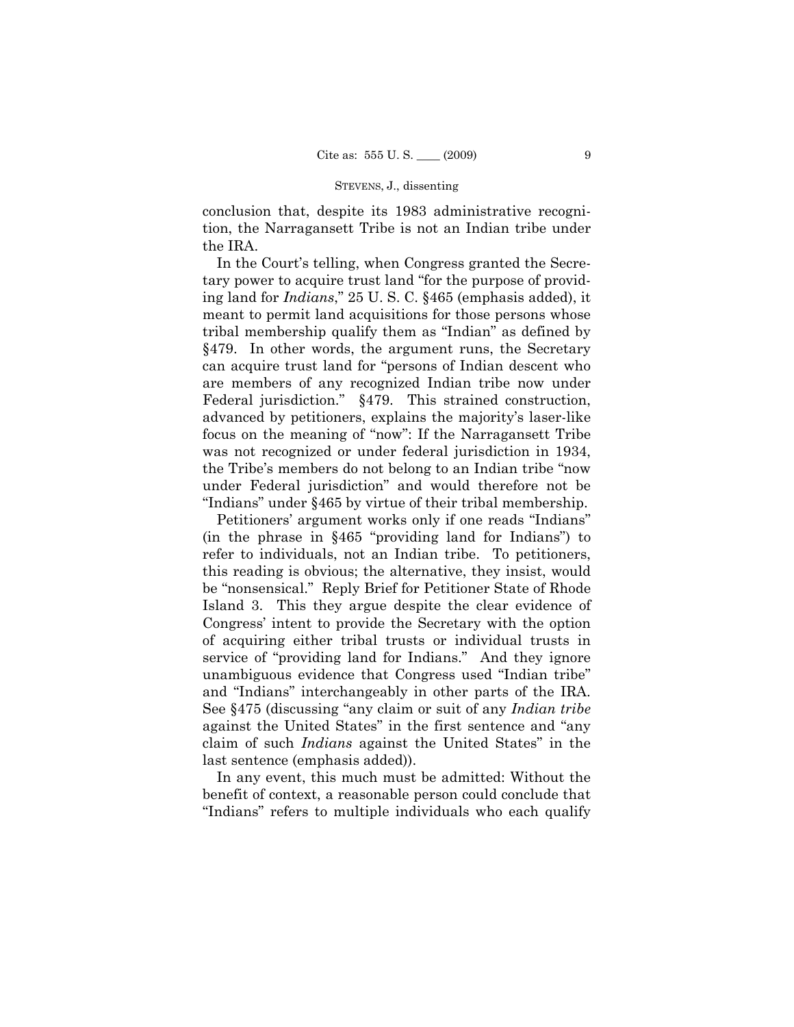conclusion that, despite its 1983 administrative recognition, the Narragansett Tribe is not an Indian tribe under the IRA.

In the Court's telling, when Congress granted the Secretary power to acquire trust land "for the purpose of providing land for *Indians*," 25 U. S. C. §465 (emphasis added), it meant to permit land acquisitions for those persons whose tribal membership qualify them as "Indian" as defined by §479. In other words, the argument runs, the Secretary can acquire trust land for "persons of Indian descent who are members of any recognized Indian tribe now under Federal jurisdiction." §479. This strained construction, advanced by petitioners, explains the majority's laser-like focus on the meaning of "now": If the Narragansett Tribe was not recognized or under federal jurisdiction in 1934, the Tribe's members do not belong to an Indian tribe "now under Federal jurisdiction" and would therefore not be "Indians" under §465 by virtue of their tribal membership.

Petitioners' argument works only if one reads "Indians" (in the phrase in §465 "providing land for Indians") to refer to individuals, not an Indian tribe. To petitioners, this reading is obvious; the alternative, they insist, would be "nonsensical." Reply Brief for Petitioner State of Rhode Island 3. This they argue despite the clear evidence of Congress' intent to provide the Secretary with the option of acquiring either tribal trusts or individual trusts in service of "providing land for Indians." And they ignore unambiguous evidence that Congress used "Indian tribe" and "Indians" interchangeably in other parts of the IRA. See §475 (discussing "any claim or suit of any *Indian tribe*  against the United States" in the first sentence and "any claim of such *Indians* against the United States" in the last sentence (emphasis added)).

In any event, this much must be admitted: Without the benefit of context, a reasonable person could conclude that "Indians" refers to multiple individuals who each qualify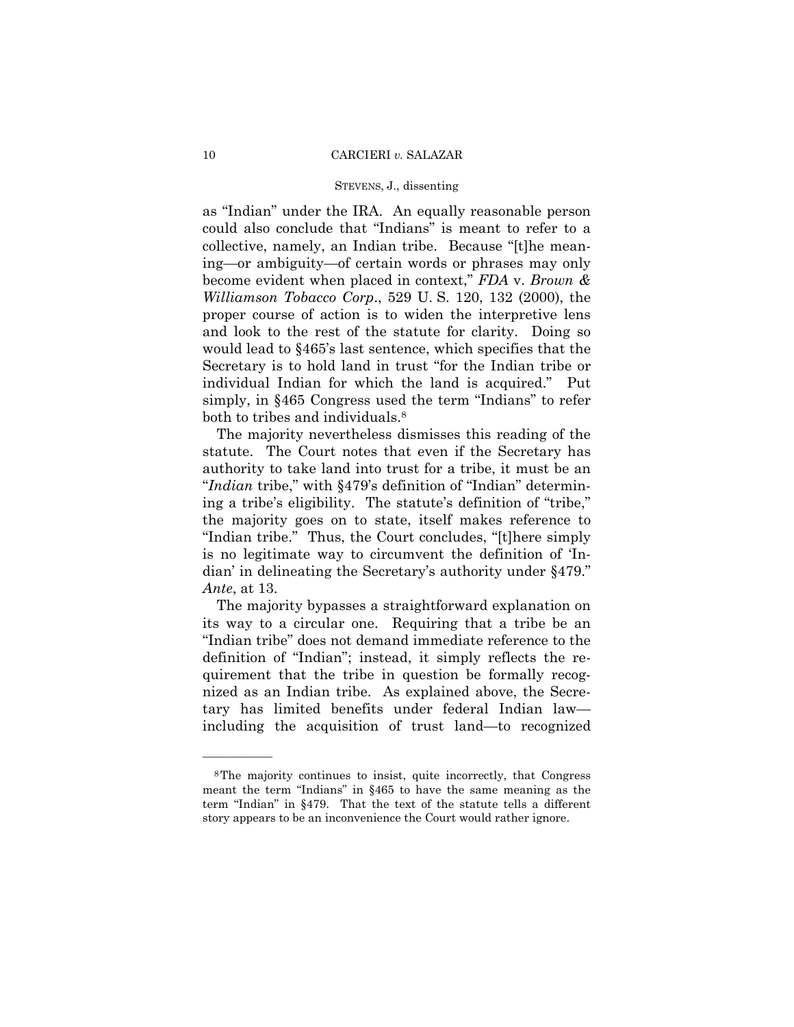## STEVENS, J., dissenting

as "Indian" under the IRA. An equally reasonable person could also conclude that "Indians" is meant to refer to a collective, namely, an Indian tribe. Because "[t]he meaning—or ambiguity—of certain words or phrases may only become evident when placed in context," *FDA* v. *Brown & Williamson Tobacco Corp*., 529 U. S. 120, 132 (2000), the proper course of action is to widen the interpretive lens and look to the rest of the statute for clarity. Doing so would lead to §465's last sentence, which specifies that the Secretary is to hold land in trust "for the Indian tribe or individual Indian for which the land is acquired." Put simply, in §465 Congress used the term "Indians" to refer both to tribes and individuals.<sup>8</sup>

The majority nevertheless dismisses this reading of the statute. The Court notes that even if the Secretary has authority to take land into trust for a tribe, it must be an "*Indian* tribe," with §479's definition of "Indian" determining a tribe's eligibility. The statute's definition of "tribe," the majority goes on to state, itself makes reference to "Indian tribe." Thus, the Court concludes, "[t]here simply is no legitimate way to circumvent the definition of 'Indian' in delineating the Secretary's authority under §479." *Ante*, at 13.

The majority bypasses a straightforward explanation on its way to a circular one. Requiring that a tribe be an "Indian tribe" does not demand immediate reference to the definition of "Indian"; instead, it simply reflects the requirement that the tribe in question be formally recognized as an Indian tribe. As explained above, the Secretary has limited benefits under federal Indian law including the acquisition of trust land—to recognized

<sup>8</sup>The majority continues to insist, quite incorrectly, that Congress meant the term "Indians" in §465 to have the same meaning as the term "Indian" in §479. That the text of the statute tells a different story appears to be an inconvenience the Court would rather ignore.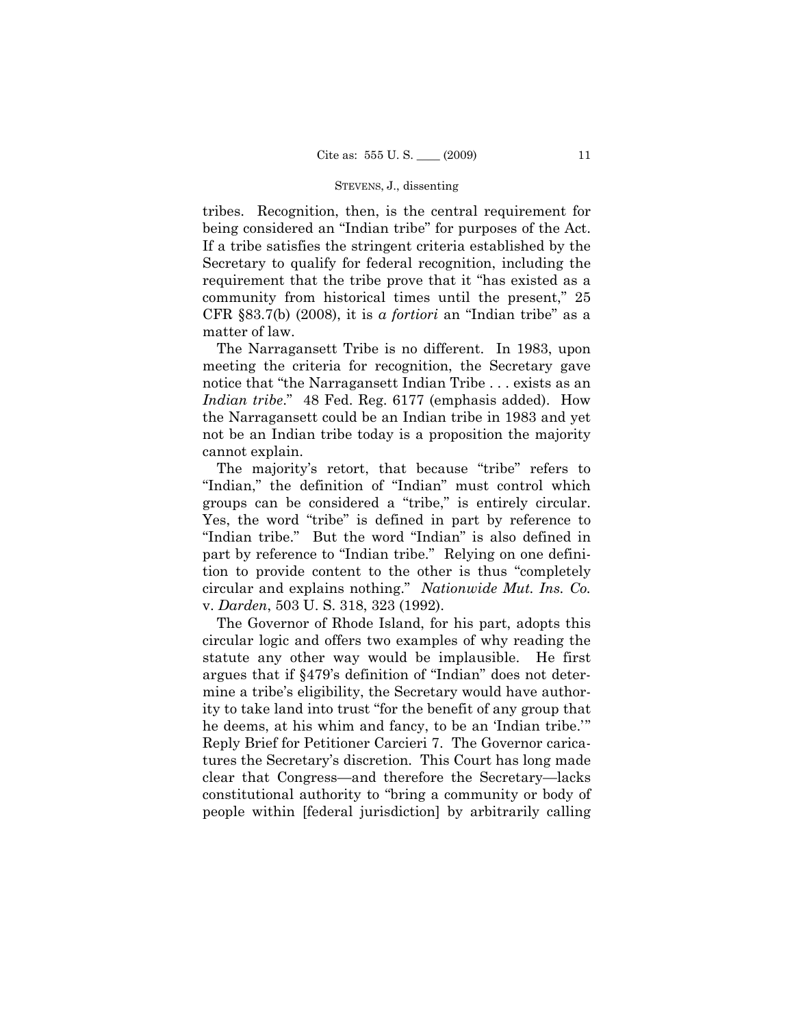tribes. Recognition, then, is the central requirement for being considered an "Indian tribe" for purposes of the Act. If a tribe satisfies the stringent criteria established by the Secretary to qualify for federal recognition, including the requirement that the tribe prove that it "has existed as a community from historical times until the present," 25 CFR §83.7(b) (2008), it is *a fortiori* an "Indian tribe" as a matter of law.

The Narragansett Tribe is no different. In 1983, upon meeting the criteria for recognition, the Secretary gave notice that "the Narragansett Indian Tribe . . . exists as an *Indian tribe*." 48 Fed. Reg. 6177 (emphasis added). How the Narragansett could be an Indian tribe in 1983 and yet not be an Indian tribe today is a proposition the majority cannot explain.

The majority's retort, that because "tribe" refers to "Indian," the definition of "Indian" must control which groups can be considered a "tribe," is entirely circular. Yes, the word "tribe" is defined in part by reference to "Indian tribe." But the word "Indian" is also defined in part by reference to "Indian tribe." Relying on one definition to provide content to the other is thus "completely circular and explains nothing." *Nationwide Mut. Ins. Co.*  v. *Darden*, 503 U. S. 318, 323 (1992).

The Governor of Rhode Island, for his part, adopts this circular logic and offers two examples of why reading the statute any other way would be implausible. He first argues that if §479's definition of "Indian" does not determine a tribe's eligibility, the Secretary would have authority to take land into trust "for the benefit of any group that he deems, at his whim and fancy, to be an 'Indian tribe.'" Reply Brief for Petitioner Carcieri 7. The Governor caricatures the Secretary's discretion. This Court has long made clear that Congress—and therefore the Secretary—lacks constitutional authority to "bring a community or body of people within [federal jurisdiction] by arbitrarily calling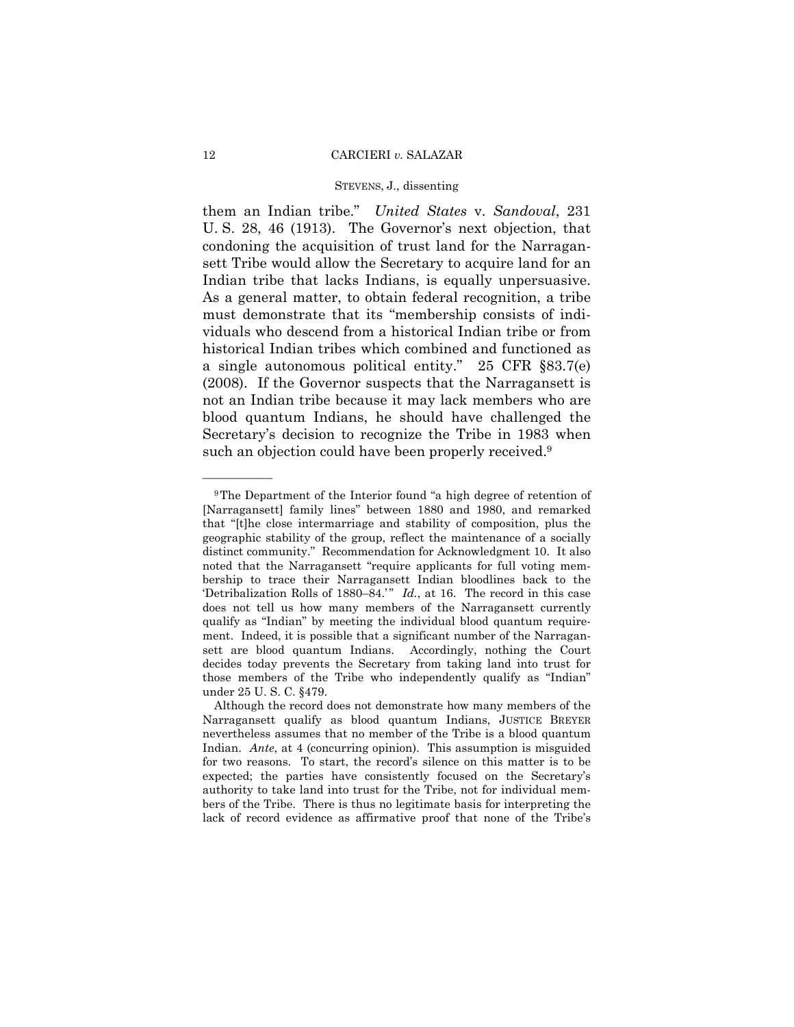## STEVENS, J., dissenting

them an Indian tribe." *United States* v. *Sandoval*, 231 U. S. 28, 46 (1913). The Governor's next objection, that condoning the acquisition of trust land for the Narragansett Tribe would allow the Secretary to acquire land for an Indian tribe that lacks Indians, is equally unpersuasive. As a general matter, to obtain federal recognition, a tribe must demonstrate that its "membership consists of individuals who descend from a historical Indian tribe or from historical Indian tribes which combined and functioned as a single autonomous political entity." 25 CFR §83.7(e) (2008). If the Governor suspects that the Narragansett is not an Indian tribe because it may lack members who are blood quantum Indians, he should have challenged the Secretary's decision to recognize the Tribe in 1983 when such an objection could have been properly received.<sup>9</sup>

<sup>9</sup>The Department of the Interior found "a high degree of retention of [Narragansett] family lines" between 1880 and 1980, and remarked that "[t]he close intermarriage and stability of composition, plus the geographic stability of the group, reflect the maintenance of a socially distinct community." Recommendation for Acknowledgment 10. It also noted that the Narragansett "require applicants for full voting membership to trace their Narragansett Indian bloodlines back to the 'Detribalization Rolls of 1880–84.'" *Id.*, at 16. The record in this case does not tell us how many members of the Narragansett currently qualify as "Indian" by meeting the individual blood quantum requirement. Indeed, it is possible that a significant number of the Narragansett are blood quantum Indians. Accordingly, nothing the Court decides today prevents the Secretary from taking land into trust for those members of the Tribe who independently qualify as "Indian" under 25 U. S. C. §479.

Although the record does not demonstrate how many members of the Narragansett qualify as blood quantum Indians, JUSTICE BREYER nevertheless assumes that no member of the Tribe is a blood quantum Indian. *Ante*, at 4 (concurring opinion). This assumption is misguided for two reasons. To start, the record's silence on this matter is to be expected; the parties have consistently focused on the Secretary's authority to take land into trust for the Tribe, not for individual members of the Tribe. There is thus no legitimate basis for interpreting the lack of record evidence as affirmative proof that none of the Tribe's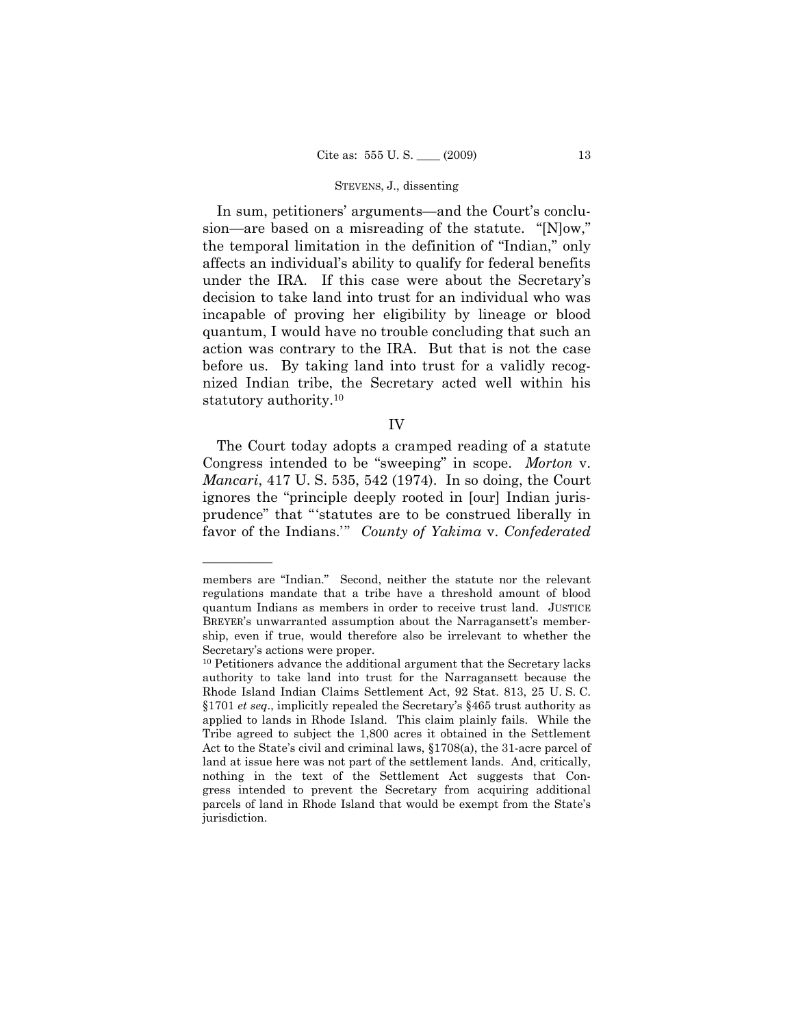In sum, petitioners' arguments—and the Court's conclusion—are based on a misreading of the statute. "[N]ow," the temporal limitation in the definition of "Indian," only affects an individual's ability to qualify for federal benefits under the IRA. If this case were about the Secretary's decision to take land into trust for an individual who was incapable of proving her eligibility by lineage or blood quantum, I would have no trouble concluding that such an action was contrary to the IRA. But that is not the case before us. By taking land into trust for a validly recognized Indian tribe, the Secretary acted well within his statutory authority.10

IV

The Court today adopts a cramped reading of a statute Congress intended to be "sweeping" in scope. *Morton* v. *Mancari*, 417 U. S. 535, 542 (1974). In so doing, the Court ignores the "principle deeply rooted in [our] Indian jurisprudence" that "'statutes are to be construed liberally in favor of the Indians.'" *County of Yakima* v. *Confederated* 

members are "Indian." Second, neither the statute nor the relevant regulations mandate that a tribe have a threshold amount of blood quantum Indians as members in order to receive trust land. JUSTICE BREYER's unwarranted assumption about the Narragansett's membership, even if true, would therefore also be irrelevant to whether the Secretary's actions were proper.<br><sup>10</sup> Petitioners advance the additional argument that the Secretary lacks

authority to take land into trust for the Narragansett because the Rhode Island Indian Claims Settlement Act, 92 Stat. 813, 25 U. S. C. §1701 *et seq*., implicitly repealed the Secretary's §465 trust authority as applied to lands in Rhode Island. This claim plainly fails. While the Tribe agreed to subject the 1,800 acres it obtained in the Settlement Act to the State's civil and criminal laws, §1708(a), the 31-acre parcel of land at issue here was not part of the settlement lands. And, critically, nothing in the text of the Settlement Act suggests that Congress intended to prevent the Secretary from acquiring additional parcels of land in Rhode Island that would be exempt from the State's jurisdiction.